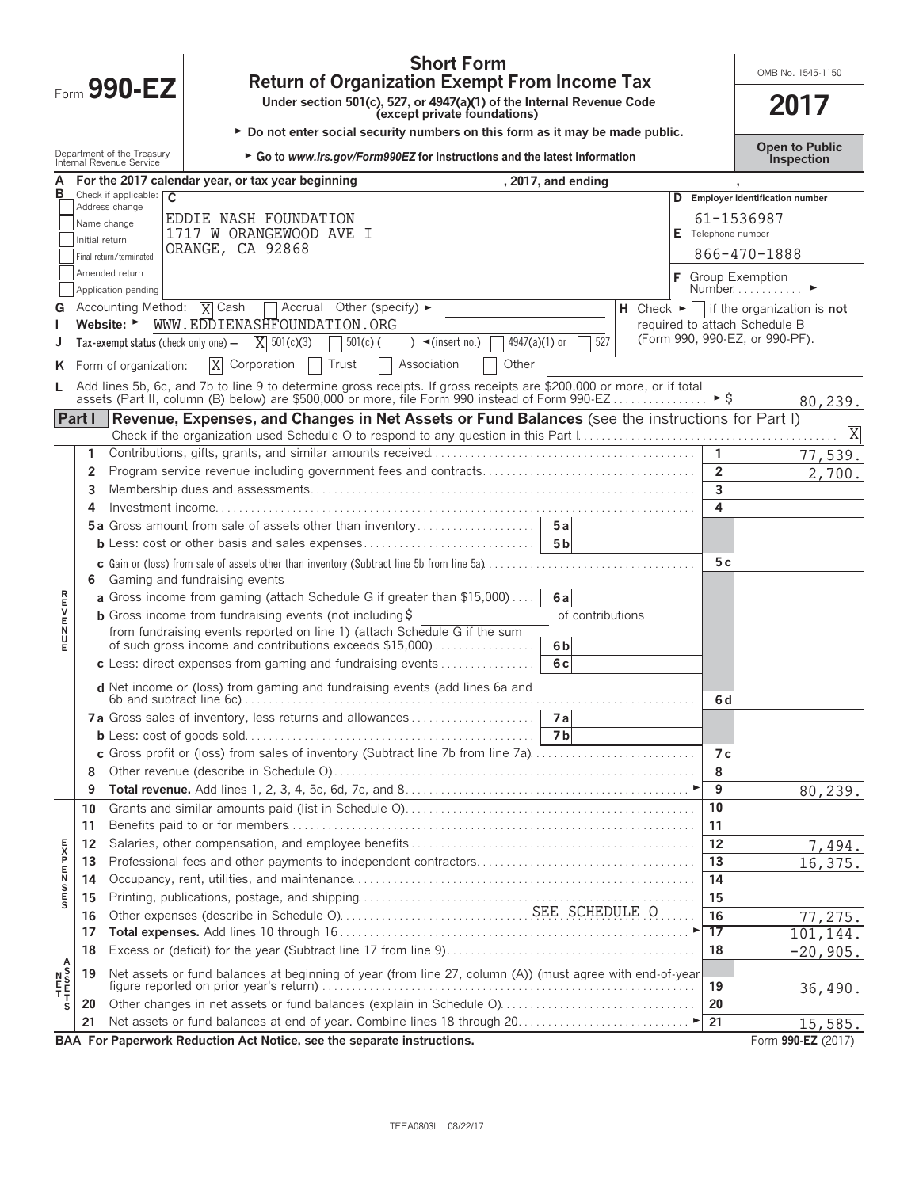|         |          | <b>Short Form</b><br><b>Return of Organization Exempt From Income Tax</b>                                                                                                                                            |                  |                          | OMB No. 1545-1150                                                    |
|---------|----------|----------------------------------------------------------------------------------------------------------------------------------------------------------------------------------------------------------------------|------------------|--------------------------|----------------------------------------------------------------------|
|         |          | Form 990-EZ<br>Under section 501(c), 527, or 4947(a)(1) of the Internal Revenue Code<br>(except private foundations)                                                                                                 |                  |                          | 2017                                                                 |
|         |          | ► Do not enter social security numbers on this form as it may be made public.<br>Department of the Treasury<br>► Go to www.irs.gov/Form990EZ for instructions and the latest information<br>Internal Revenue Service |                  |                          | <b>Open to Public</b><br>Inspection                                  |
| А       |          | For the 2017 calendar year, or tax year beginning                                                                                                                                                                    | 2017, and ending |                          |                                                                      |
| в       |          | Check if applicable: $\overline{C}$                                                                                                                                                                                  |                  |                          | D Employer identification number                                     |
|         |          | Address change<br>EDDIE NASH FOUNDATION                                                                                                                                                                              |                  |                          | 61-1536987                                                           |
|         |          | Name change<br>1717 W ORANGEWOOD AVE I<br>Initial return                                                                                                                                                             |                  | Telephone number         |                                                                      |
|         |          | ORANGE, CA 92868<br>Final return/terminated                                                                                                                                                                          |                  |                          | 866-470-1888                                                         |
|         |          | Amended return                                                                                                                                                                                                       |                  |                          |                                                                      |
|         |          | Application pending                                                                                                                                                                                                  |                  |                          | <b>F</b> Group Exemption<br>Number                                   |
|         |          | Accounting Method: $\overline{X}$ Cash<br>$\Box$ Accrual Other (specify) $\blacktriangleright$                                                                                                                       |                  |                          | H Check $\blacktriangleright \Box$ if the organization is <b>not</b> |
|         |          | WWW.EDDIENASHFOUNDATION.ORG<br>Website: ►                                                                                                                                                                            |                  |                          | required to attach Schedule B                                        |
|         |          | $X = 501(c)(3)$<br>4947(a)(1) or<br>$501(c)$ (<br>$\sqrt{\frac{1}{1}}$ (insert no.)<br>Tax-exempt status (check only one) -                                                                                          | 527              |                          | (Form 990, 990-EZ, or 990-PF).                                       |
| ĸ       |          | $\overline{X}$<br>Other<br>Corporation<br>Association<br>Trust<br>Form of organization:                                                                                                                              |                  |                          |                                                                      |
|         |          | Add lines 5b, 6c, and 7b to line 9 to determine gross receipts. If gross receipts are \$200,000 or more, or if total                                                                                                 |                  |                          |                                                                      |
|         |          | assets (Part II, column (B) below) are \$500,000 or more, file Form 990 instead of Form 990-EZ                                                                                                                       |                  | $\blacktriangleright$ \$ | 80,239.                                                              |
|         | Part I   | Revenue, Expenses, and Changes in Net Assets or Fund Balances (see the instructions for Part I)                                                                                                                      |                  |                          |                                                                      |
|         | 1        |                                                                                                                                                                                                                      |                  | $\mathbf{1}$             | X                                                                    |
|         | 2        |                                                                                                                                                                                                                      |                  | $\overline{2}$           | 77,539.                                                              |
|         | 3        |                                                                                                                                                                                                                      |                  | 3                        | 2,700.                                                               |
|         | 4        |                                                                                                                                                                                                                      |                  | 4                        |                                                                      |
|         |          |                                                                                                                                                                                                                      |                  |                          |                                                                      |
|         |          | <b>b</b> Less: cost or other basis and sales expenses                                                                                                                                                                | 5 <sub>b</sub>   |                          |                                                                      |
|         |          |                                                                                                                                                                                                                      |                  | 5c                       |                                                                      |
|         | 6        | Gaming and fundraising events                                                                                                                                                                                        |                  |                          |                                                                      |
|         |          | a Gross income from gaming (attach Schedule G if greater than \$15,000)                                                                                                                                              | 6al              |                          |                                                                      |
| アロンドロ   |          | <b>b</b> Gross income from fundraising events (not including $\ddot{\theta}$                                                                                                                                         | of contributions |                          |                                                                      |
| U       |          | from fundraising events reported on line 1) (attach Schedule G if the sum                                                                                                                                            |                  |                          |                                                                      |
|         |          | of such gross income and contributions exceeds \$15,000)                                                                                                                                                             | 6 <sub>b</sub>   |                          |                                                                      |
|         |          | c Less: direct expenses from gaming and fundraising events $\ldots$                                                                                                                                                  | 6c               |                          |                                                                      |
|         |          | d Net income or (loss) from gaming and fundraising events (add lines 6a and                                                                                                                                          |                  | 6 d                      |                                                                      |
|         |          |                                                                                                                                                                                                                      |                  |                          |                                                                      |
|         |          |                                                                                                                                                                                                                      | 7 <sub>b</sub>   |                          |                                                                      |
|         |          | c Gross profit or (loss) from sales of inventory (Subtract line 7b from line 7a).                                                                                                                                    |                  | 7 с                      |                                                                      |
|         | 8        |                                                                                                                                                                                                                      |                  | 8                        |                                                                      |
|         | 9        |                                                                                                                                                                                                                      |                  | 9                        | 80,239.                                                              |
|         | 10<br>11 |                                                                                                                                                                                                                      |                  | 10<br>11                 |                                                                      |
|         | 12       |                                                                                                                                                                                                                      |                  | 12                       |                                                                      |
|         | 13       |                                                                                                                                                                                                                      |                  | 13                       | 7,494.<br>16,375.                                                    |
| の下のNFXF | 14       |                                                                                                                                                                                                                      |                  | 14                       |                                                                      |
|         | 15       |                                                                                                                                                                                                                      |                  | 15                       |                                                                      |
|         | 16       |                                                                                                                                                                                                                      |                  | 16                       | 77,275.                                                              |
|         | 17       |                                                                                                                                                                                                                      |                  | 17                       | 101,144.                                                             |
|         | 18       |                                                                                                                                                                                                                      |                  | 18                       | $-20,905.$                                                           |
|         | 19       | Net assets or fund balances at beginning of year (from line 27, column (A)) (must agree with end-of-year                                                                                                             |                  |                          |                                                                      |
|         |          |                                                                                                                                                                                                                      |                  | 19                       | 36,490.                                                              |
|         | 20       |                                                                                                                                                                                                                      |                  | 20                       |                                                                      |
|         | 21       |                                                                                                                                                                                                                      |                  | 21                       | 15,585.                                                              |
|         |          |                                                                                                                                                                                                                      |                  |                          | 0.00 F7 0017                                                         |

**BAA For Paperwork Reduction Act Notice, see the separate instructions. The set of the separate instructions.** Form 990-EZ (2017)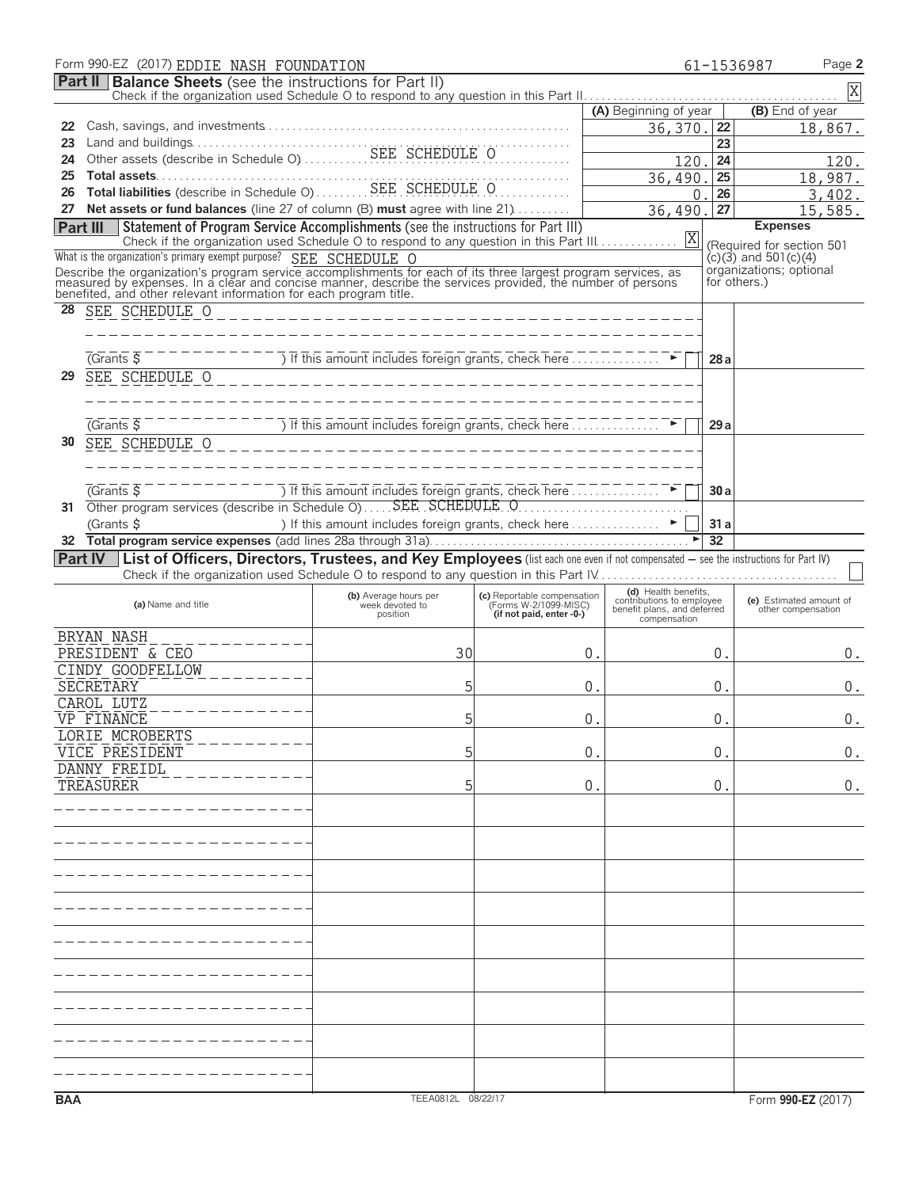| Form 990-EZ (2017) EDDIE NASH FOUNDATION                                                                                                                                                                                                                                                          |                                                                                                                                                                 |                                                      |                                                          |                 | Page 2<br>61-1536987                                   |
|---------------------------------------------------------------------------------------------------------------------------------------------------------------------------------------------------------------------------------------------------------------------------------------------------|-----------------------------------------------------------------------------------------------------------------------------------------------------------------|------------------------------------------------------|----------------------------------------------------------|-----------------|--------------------------------------------------------|
| <b>Part II</b> Balance Sheets (see the instructions for Part II)                                                                                                                                                                                                                                  |                                                                                                                                                                 |                                                      |                                                          |                 | X                                                      |
|                                                                                                                                                                                                                                                                                                   |                                                                                                                                                                 |                                                      | (A) Beginning of year                                    |                 | (B) End of year                                        |
| 22                                                                                                                                                                                                                                                                                                |                                                                                                                                                                 |                                                      | 36,370.                                                  | 22              | 18,867.                                                |
| 23                                                                                                                                                                                                                                                                                                |                                                                                                                                                                 |                                                      |                                                          | 23              |                                                        |
| 24                                                                                                                                                                                                                                                                                                |                                                                                                                                                                 |                                                      | 120.                                                     | 24              | 120.                                                   |
| Total assets<br>Total liabilities (describe in Schedule O)<br>SEE SCHEDULE O<br>25                                                                                                                                                                                                                |                                                                                                                                                                 |                                                      | 36,490.                                                  | 25              | 18,987.                                                |
| 26                                                                                                                                                                                                                                                                                                |                                                                                                                                                                 |                                                      | 0                                                        | 26              | 3,402.                                                 |
| 27 Net assets or fund balances (line 27 of column (B) must agree with line 21)                                                                                                                                                                                                                    |                                                                                                                                                                 |                                                      | 36,490                                                   | 27              | 15,585.                                                |
| Statement of Program Service Accomplishments (see the instructions for Part III)<br>Part III                                                                                                                                                                                                      |                                                                                                                                                                 |                                                      |                                                          |                 | <b>Expenses</b>                                        |
| What is the organization's primary exempt purpose? SEE SCHEDULE O                                                                                                                                                                                                                                 |                                                                                                                                                                 |                                                      |                                                          |                 | (Required for section 501<br>$(c)(3)$ and 501 $(c)(4)$ |
|                                                                                                                                                                                                                                                                                                   |                                                                                                                                                                 |                                                      |                                                          |                 | organizations; optional                                |
| Describe the organization's program service accomplishments for each of its three largest program services, as<br>measured by expenses. In a clear and concise manner, describe the services provided, the number of persons<br>benefited, and other relevant information for each program title. |                                                                                                                                                                 |                                                      |                                                          | for others.)    |                                                        |
| 28<br>SEE SCHEDULE O                                                                                                                                                                                                                                                                              |                                                                                                                                                                 |                                                      |                                                          |                 |                                                        |
|                                                                                                                                                                                                                                                                                                   | ________________________________                                                                                                                                |                                                      |                                                          |                 |                                                        |
|                                                                                                                                                                                                                                                                                                   |                                                                                                                                                                 |                                                      |                                                          |                 |                                                        |
| $\sqrt{G}$ rants $\overline{S}$                                                                                                                                                                                                                                                                   | $\frac{1}{1}$ = $\frac{1}{1}$ = $\frac{1}{1}$ The This amount includes foreign grants, check here $\frac{1}{1}$ = $\frac{1}{1}$ = $\frac{1}{1}$ = $\frac{1}{1}$ |                                                      |                                                          | 28a             |                                                        |
| SEE SCHEDULE O<br>29                                                                                                                                                                                                                                                                              | ________________________________                                                                                                                                |                                                      |                                                          |                 |                                                        |
|                                                                                                                                                                                                                                                                                                   |                                                                                                                                                                 |                                                      |                                                          |                 |                                                        |
|                                                                                                                                                                                                                                                                                                   |                                                                                                                                                                 |                                                      |                                                          |                 |                                                        |
| (Grants 5)                                                                                                                                                                                                                                                                                        | If this amount includes foreign grants, check here                                                                                                              |                                                      |                                                          | 29a             |                                                        |
| SEE SCHEDULE O<br>30                                                                                                                                                                                                                                                                              |                                                                                                                                                                 |                                                      |                                                          |                 |                                                        |
|                                                                                                                                                                                                                                                                                                   |                                                                                                                                                                 |                                                      |                                                          |                 |                                                        |
|                                                                                                                                                                                                                                                                                                   |                                                                                                                                                                 |                                                      |                                                          |                 |                                                        |
| $\sqrt{G}$ rants $\overline{S}$                                                                                                                                                                                                                                                                   | ) If this amount includes foreign grants, check here $\ldots$                                                                                                   |                                                      |                                                          | 30a             |                                                        |
| 31                                                                                                                                                                                                                                                                                                |                                                                                                                                                                 |                                                      |                                                          |                 |                                                        |
| (Grants \$                                                                                                                                                                                                                                                                                        | ) If this amount includes foreign grants, check here ►                                                                                                          |                                                      |                                                          | 31a             |                                                        |
| 32                                                                                                                                                                                                                                                                                                |                                                                                                                                                                 |                                                      |                                                          | $\overline{32}$ |                                                        |
| Part IV   List of Officers, Directors, Trustees, and Key Employees (list each one even if not compensated - see the instructions for Part IV)                                                                                                                                                     |                                                                                                                                                                 |                                                      |                                                          |                 |                                                        |
|                                                                                                                                                                                                                                                                                                   |                                                                                                                                                                 |                                                      | (d) Health benefits.                                     |                 |                                                        |
| (a) Name and title                                                                                                                                                                                                                                                                                | (b) Average hours per<br>week devoted to                                                                                                                        | (c) Reportable compensation<br>(Forms W-2/1099-MISC) | contributions to employee<br>benefit plans, and deferred |                 | (e) Estimated amount of<br>other compensation          |
|                                                                                                                                                                                                                                                                                                   | position                                                                                                                                                        | (if not paid, enter -0-)                             | compensation                                             |                 |                                                        |
| BRYAN NASH                                                                                                                                                                                                                                                                                        |                                                                                                                                                                 |                                                      |                                                          |                 |                                                        |
| PRESIDENT & CEO                                                                                                                                                                                                                                                                                   | 30                                                                                                                                                              | 0.                                                   |                                                          | 0.              | 0.                                                     |
| CINDY GOODFELLOW                                                                                                                                                                                                                                                                                  |                                                                                                                                                                 |                                                      |                                                          |                 |                                                        |
| SECRETARY                                                                                                                                                                                                                                                                                         | 5                                                                                                                                                               | 0.                                                   |                                                          | 0.              | 0.                                                     |
| CAROL LUTZ                                                                                                                                                                                                                                                                                        |                                                                                                                                                                 |                                                      |                                                          |                 |                                                        |
| VP FINANCE                                                                                                                                                                                                                                                                                        | 5                                                                                                                                                               | 0                                                    |                                                          | 0               | 0.                                                     |
| LORIE MCROBERTS                                                                                                                                                                                                                                                                                   |                                                                                                                                                                 |                                                      |                                                          |                 |                                                        |
| VICE PRESIDENT<br>DANNY FREIDL                                                                                                                                                                                                                                                                    | 5                                                                                                                                                               | 0                                                    |                                                          | 0.              | 0.                                                     |
| TREASURER                                                                                                                                                                                                                                                                                         | 5                                                                                                                                                               | 0.                                                   |                                                          | 0.              | 0.                                                     |
|                                                                                                                                                                                                                                                                                                   |                                                                                                                                                                 |                                                      |                                                          |                 |                                                        |
|                                                                                                                                                                                                                                                                                                   |                                                                                                                                                                 |                                                      |                                                          |                 |                                                        |
|                                                                                                                                                                                                                                                                                                   |                                                                                                                                                                 |                                                      |                                                          |                 |                                                        |
|                                                                                                                                                                                                                                                                                                   |                                                                                                                                                                 |                                                      |                                                          |                 |                                                        |
|                                                                                                                                                                                                                                                                                                   |                                                                                                                                                                 |                                                      |                                                          |                 |                                                        |
|                                                                                                                                                                                                                                                                                                   |                                                                                                                                                                 |                                                      |                                                          |                 |                                                        |
|                                                                                                                                                                                                                                                                                                   |                                                                                                                                                                 |                                                      |                                                          |                 |                                                        |
|                                                                                                                                                                                                                                                                                                   |                                                                                                                                                                 |                                                      |                                                          |                 |                                                        |
|                                                                                                                                                                                                                                                                                                   |                                                                                                                                                                 |                                                      |                                                          |                 |                                                        |
|                                                                                                                                                                                                                                                                                                   |                                                                                                                                                                 |                                                      |                                                          |                 |                                                        |
|                                                                                                                                                                                                                                                                                                   |                                                                                                                                                                 |                                                      |                                                          |                 |                                                        |
|                                                                                                                                                                                                                                                                                                   |                                                                                                                                                                 |                                                      |                                                          |                 |                                                        |
|                                                                                                                                                                                                                                                                                                   |                                                                                                                                                                 |                                                      |                                                          |                 |                                                        |
|                                                                                                                                                                                                                                                                                                   |                                                                                                                                                                 |                                                      |                                                          |                 |                                                        |
|                                                                                                                                                                                                                                                                                                   |                                                                                                                                                                 |                                                      |                                                          |                 |                                                        |
|                                                                                                                                                                                                                                                                                                   |                                                                                                                                                                 |                                                      |                                                          |                 |                                                        |
|                                                                                                                                                                                                                                                                                                   |                                                                                                                                                                 |                                                      |                                                          |                 |                                                        |
| <b>BAA</b>                                                                                                                                                                                                                                                                                        | TEEA0812L 08/22/17                                                                                                                                              |                                                      |                                                          |                 | Form 990-EZ (2017)                                     |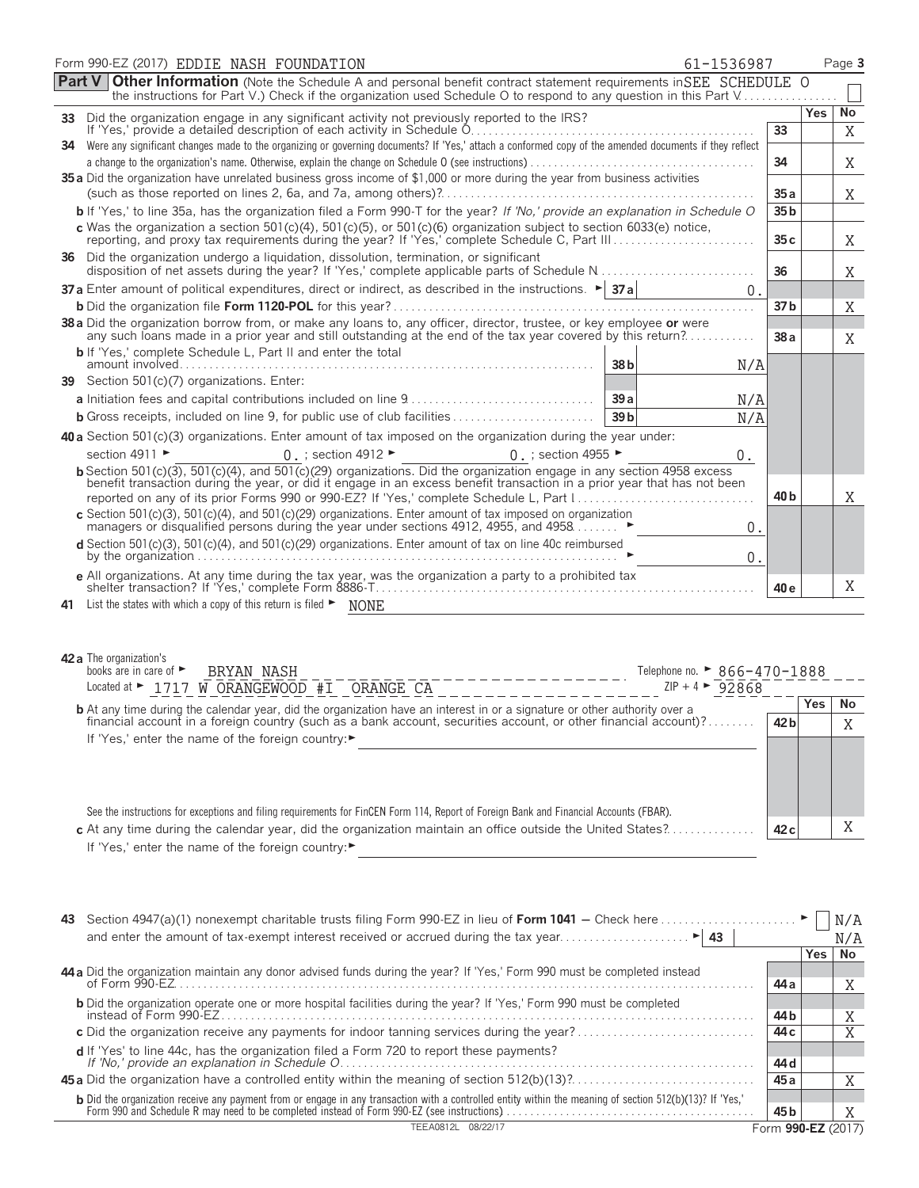|        | Form 990-EZ (2017) EDDIE NASH FOUNDATION<br>61-1536987                                                                                                                                                                                           |                 |            | Page 3    |
|--------|--------------------------------------------------------------------------------------------------------------------------------------------------------------------------------------------------------------------------------------------------|-----------------|------------|-----------|
| Part V | <b>Other Information</b> (Note the Schedule A and personal benefit contract statement requirements in SEE SCHEDULE O<br>the instructions for Part V.) Check if the organization used Schedule O to respond to any question in this Part V        |                 |            |           |
| 33 -   | Did the organization engage in any significant activity not previously reported to the IRS?                                                                                                                                                      |                 | Yes        | No        |
|        |                                                                                                                                                                                                                                                  | 33              |            | X         |
|        | 34 Were any significant changes made to the organizing or governing documents? If 'Yes,' attach a conformed copy of the amended documents if they reflect                                                                                        | 34              |            | Χ         |
|        | 35 a Did the organization have unrelated business gross income of \$1,000 or more during the year from business activities                                                                                                                       |                 |            |           |
|        |                                                                                                                                                                                                                                                  | 35 a            |            | X         |
|        | b If 'Yes,' to line 35a, has the organization filed a Form 990-T for the year? If 'No,' provide an explanation in Schedule O                                                                                                                     | 35 <sub>b</sub> |            |           |
|        | c Was the organization a section $501(c)(4)$ , $501(c)(5)$ , or $501(c)(6)$ organization subject to section $6033(e)$ notice,                                                                                                                    | 35 c            |            | Χ         |
|        | 36 Did the organization undergo a liquidation, dissolution, termination, or significant                                                                                                                                                          | 36              |            | Χ         |
|        | <b>37a</b> Enter amount of political expenditures, direct or indirect, as described in the instructions. $\blacktriangleright$ <b>37a</b><br>$\overline{0}$ .                                                                                    |                 |            |           |
|        |                                                                                                                                                                                                                                                  | 37 <sub>b</sub> |            | X         |
|        | 38 a Did the organization borrow from, or make any loans to, any officer, director, trustee, or key employee or were<br>any such loans made in a prior year and still outstanding at the end of the tax year covered by this return?             | 38 a            |            | X         |
|        | <b>b</b> If 'Yes,' complete Schedule L, Part II and enter the total<br>38b<br>N/A                                                                                                                                                                |                 |            |           |
|        | 39 Section 501(c)(7) organizations. Enter:                                                                                                                                                                                                       |                 |            |           |
|        | 39a<br>N/A                                                                                                                                                                                                                                       |                 |            |           |
|        | <b>b</b> Gross receipts, included on line 9, for public use of club facilities<br>39 <sub>b</sub><br>N/A                                                                                                                                         |                 |            |           |
|        | 40 a Section 501(c)(3) organizations. Enter amount of tax imposed on the organization during the year under:                                                                                                                                     |                 |            |           |
|        | section 4911 ►<br>0. ; section 4912 $\blacktriangleright$<br>0 .; section 4955 ►<br>$0$ .                                                                                                                                                        |                 |            |           |
|        | b Section 501(c)(3), 501(c)(4), and 501(c)(29) organizations. Did the organization engage in any section 4958 excess<br>benefit transaction during the year, or did it engage in an excess benefit transaction in a prior year that has not been |                 |            |           |
|        |                                                                                                                                                                                                                                                  | 40 <sub>b</sub> |            | Χ         |
|        | c Section 501(c)(3), 501(c)(4), and 501(c)(29) organizations. Enter amount of tax imposed on organization<br>managers or disqualified persons during the year under sections 4912, 4955, and 4958<br>0.                                          |                 |            |           |
|        | d Section 501(c)(3), 501(c)(4), and 501(c)(29) organizations. Enter amount of tax on line 40c reimbursed<br>0.                                                                                                                                   |                 |            |           |
|        | e All organizations. At any time during the tax year, was the organization a party to a prohibited tax                                                                                                                                           | 40 e            |            | X         |
|        | 41 List the states with which a copy of this return is filed > NONE                                                                                                                                                                              |                 |            |           |
|        | 42 a The organization's<br>books are in care of $\blacktriangleright$<br>BRYAN NASH<br>Telephone no. ► 866-470-1888<br>Located at ► 1717 W ORANGEWOOD #I ORANGE CA<br>$ZIP + 4$ $\triangleright$ 92868                                           |                 |            |           |
|        | <b>b</b> At any time during the calendar year, did the organization have an interest in or a signature or other authority over a                                                                                                                 |                 | <b>Yes</b> | <b>No</b> |
|        | financial account in a foreign country (such as a bank account, securities account, or other financial account)?                                                                                                                                 | 42 <sub>b</sub> |            | Χ         |
|        | If 'Yes,' enter the name of the foreign country:▶                                                                                                                                                                                                |                 |            |           |
|        | See the instructions for exceptions and filing requirements for FinCEN Form 114, Report of Foreign Bank and Financial Accounts (FBAR).                                                                                                           |                 |            |           |
|        | c At any time during the calendar year, did the organization maintain an office outside the United States?                                                                                                                                       | 42 <sub>c</sub> |            | X         |
|        | If 'Yes,' enter the name of the foreign country:                                                                                                                                                                                                 |                 |            |           |
|        |                                                                                                                                                                                                                                                  |                 |            |           |

| 43                                                                                                                                                                                                                                     |                    |       |     |
|----------------------------------------------------------------------------------------------------------------------------------------------------------------------------------------------------------------------------------------|--------------------|-------|-----|
|                                                                                                                                                                                                                                        |                    |       | N/A |
|                                                                                                                                                                                                                                        |                    | Yes l | No  |
| 44 a Did the organization maintain any donor advised funds during the year? If 'Yes,' Form 990 must be completed instead                                                                                                               |                    |       |     |
|                                                                                                                                                                                                                                        | 44 a               |       | Χ   |
| <b>b</b> Did the organization operate one or more hospital facilities during the year? If 'Yes,' Form 990 must be completed                                                                                                            |                    |       |     |
|                                                                                                                                                                                                                                        | 44 b               |       | Χ   |
| c Did the organization receive any payments for indoor tanning services during the year?                                                                                                                                               | 44 c               |       | Χ   |
|                                                                                                                                                                                                                                        |                    |       |     |
|                                                                                                                                                                                                                                        | 44 d               |       |     |
|                                                                                                                                                                                                                                        | 45 a               |       |     |
|                                                                                                                                                                                                                                        |                    |       |     |
| <b>b</b> Did the organization receive any payment from or engage in any transaction with a controlled entity within the meaning of section 512(b)(13)? If 'Yes,'<br>Form 990 and Schedule R may need to be completed instead of Form 9 | 45 b               |       | Χ   |
| 08/22/17<br><b>TEEA0812L</b>                                                                                                                                                                                                           | Form 990-EZ (2017) |       |     |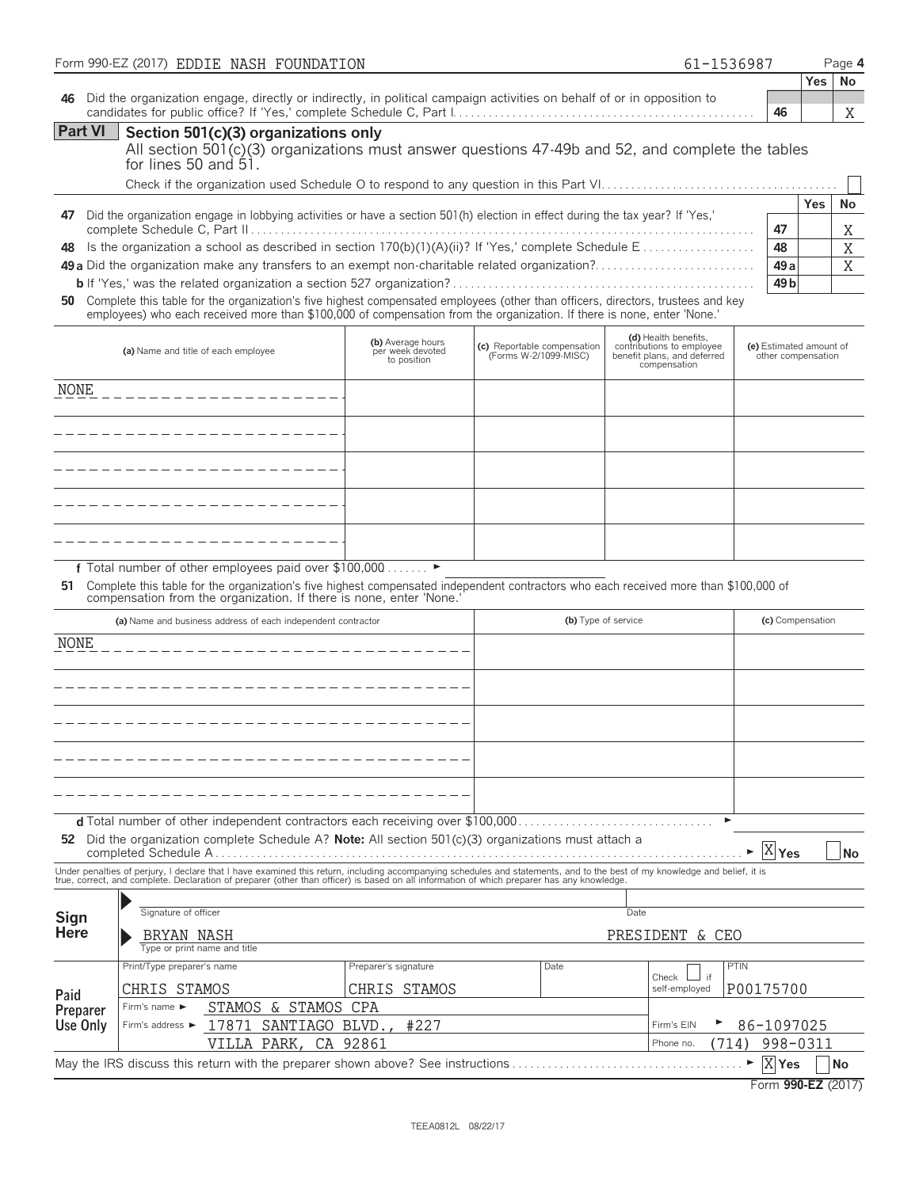|                                                                                                                                                                                             | Form 990-EZ (2017) EDDIE NASH FOUNDATION                                                                                                                                                                                                                               |                                                      |                                                      | 61-1536987                                                                                       |                                               |            | Page 4    |
|---------------------------------------------------------------------------------------------------------------------------------------------------------------------------------------------|------------------------------------------------------------------------------------------------------------------------------------------------------------------------------------------------------------------------------------------------------------------------|------------------------------------------------------|------------------------------------------------------|--------------------------------------------------------------------------------------------------|-----------------------------------------------|------------|-----------|
|                                                                                                                                                                                             |                                                                                                                                                                                                                                                                        |                                                      |                                                      |                                                                                                  |                                               | <b>Yes</b> | No        |
| 46                                                                                                                                                                                          | Did the organization engage, directly or indirectly, in political campaign activities on behalf of or in opposition to                                                                                                                                                 |                                                      |                                                      |                                                                                                  | 46                                            |            | Χ         |
| <b>Part VI</b><br>Section 501(c)(3) organizations only<br>All section $501(c)(3)$ organizations must answer questions $47-49b$ and $52$ , and complete the tables<br>for lines 50 and $51.$ |                                                                                                                                                                                                                                                                        |                                                      |                                                      |                                                                                                  |                                               |            |           |
|                                                                                                                                                                                             |                                                                                                                                                                                                                                                                        |                                                      |                                                      |                                                                                                  |                                               | Yes        | <b>No</b> |
| 47                                                                                                                                                                                          | Did the organization engage in lobbying activities or have a section 501(h) election in effect during the tax year? If 'Yes,'                                                                                                                                          |                                                      |                                                      |                                                                                                  | 47                                            |            | Χ         |
| 48                                                                                                                                                                                          | Is the organization a school as described in section 170(b)(1)(A)(ii)? If 'Yes,' complete Schedule E                                                                                                                                                                   |                                                      |                                                      |                                                                                                  | 48                                            |            | Χ         |
|                                                                                                                                                                                             |                                                                                                                                                                                                                                                                        |                                                      |                                                      |                                                                                                  | 49 <sub>a</sub><br>49 <sub>b</sub>            |            | X         |
|                                                                                                                                                                                             | 50 Complete this table for the organization's five highest compensated employees (other than officers, directors, trustees and key<br>employees) who each received more than \$100,000 of compensation from the organization. If there is none, enter 'None.'          |                                                      |                                                      |                                                                                                  |                                               |            |           |
|                                                                                                                                                                                             | (a) Name and title of each employee                                                                                                                                                                                                                                    | (b) Average hours<br>per week devoted<br>to position | (c) Reportable compensation<br>(Forms W-2/1099-MISC) | (d) Health benefits,<br>contributions to employee<br>benefit plans, and deferred<br>compensation | (e) Estimated amount of<br>other compensation |            |           |
| <b>NONE</b>                                                                                                                                                                                 |                                                                                                                                                                                                                                                                        |                                                      |                                                      |                                                                                                  |                                               |            |           |
|                                                                                                                                                                                             |                                                                                                                                                                                                                                                                        |                                                      |                                                      |                                                                                                  |                                               |            |           |
|                                                                                                                                                                                             | __________________                                                                                                                                                                                                                                                     |                                                      |                                                      |                                                                                                  |                                               |            |           |
|                                                                                                                                                                                             |                                                                                                                                                                                                                                                                        |                                                      |                                                      |                                                                                                  |                                               |            |           |
|                                                                                                                                                                                             |                                                                                                                                                                                                                                                                        |                                                      |                                                      |                                                                                                  |                                               |            |           |
|                                                                                                                                                                                             |                                                                                                                                                                                                                                                                        |                                                      |                                                      |                                                                                                  |                                               |            |           |
| 51                                                                                                                                                                                          | f Total number of other employees paid over \$100,000 ><br>Complete this table for the organization's five highest compensated independent contractors who each received more than \$100,000 of<br>compensation from the organization. If there is none, enter 'None.' |                                                      |                                                      |                                                                                                  |                                               |            |           |
|                                                                                                                                                                                             | (a) Name and business address of each independent contractor                                                                                                                                                                                                           |                                                      |                                                      | (b) Type of service                                                                              | (c) Compensation                              |            |           |
| <b>NONE</b>                                                                                                                                                                                 |                                                                                                                                                                                                                                                                        |                                                      |                                                      |                                                                                                  |                                               |            |           |
|                                                                                                                                                                                             |                                                                                                                                                                                                                                                                        |                                                      |                                                      |                                                                                                  |                                               |            |           |
|                                                                                                                                                                                             |                                                                                                                                                                                                                                                                        |                                                      |                                                      |                                                                                                  |                                               |            |           |
|                                                                                                                                                                                             |                                                                                                                                                                                                                                                                        |                                                      |                                                      |                                                                                                  |                                               |            |           |
|                                                                                                                                                                                             |                                                                                                                                                                                                                                                                        |                                                      |                                                      |                                                                                                  |                                               |            |           |
|                                                                                                                                                                                             |                                                                                                                                                                                                                                                                        |                                                      |                                                      |                                                                                                  |                                               |            |           |
|                                                                                                                                                                                             |                                                                                                                                                                                                                                                                        |                                                      |                                                      |                                                                                                  |                                               |            |           |
|                                                                                                                                                                                             | <b>d</b> Total number of other independent contractors each receiving over \$100,000                                                                                                                                                                                   |                                                      |                                                      | ▶                                                                                                |                                               |            |           |
|                                                                                                                                                                                             | 52 Did the organization complete Schedule A? Note: All section $501(c)(3)$ organizations must attach a                                                                                                                                                                 |                                                      |                                                      |                                                                                                  | $\overline{X}$ Yes                            |            | No        |
|                                                                                                                                                                                             | Under penalties of perjury, I declare that I have examined this return, including accompanying schedules and statements, and to the best of my knowledge and belief, it is true, correct, and complete. Declaration of prepare                                         |                                                      |                                                      |                                                                                                  |                                               |            |           |
|                                                                                                                                                                                             |                                                                                                                                                                                                                                                                        |                                                      |                                                      |                                                                                                  |                                               |            |           |
| Sign<br><b>Here</b>                                                                                                                                                                         | Signature of officer                                                                                                                                                                                                                                                   |                                                      |                                                      | Date                                                                                             |                                               |            |           |
|                                                                                                                                                                                             | BRYAN NASH<br>Type or print name and title                                                                                                                                                                                                                             |                                                      |                                                      | PRESIDENT & CEO                                                                                  |                                               |            |           |
|                                                                                                                                                                                             | Print/Type preparer's name                                                                                                                                                                                                                                             | Preparer's signature                                 | Date                                                 | Check<br>if                                                                                      | PTIN                                          |            |           |
| Paid                                                                                                                                                                                        | CHRIS STAMOS                                                                                                                                                                                                                                                           | CHRIS STAMOS                                         |                                                      | self-employed                                                                                    | P00175700                                     |            |           |
| Preparer                                                                                                                                                                                    | STAMOS<br>& STAMOS<br>Firm's name $\blacktriangleright$                                                                                                                                                                                                                | CPA                                                  |                                                      |                                                                                                  |                                               |            |           |
| Use Only                                                                                                                                                                                    | 17871<br>SANTIAGO<br>Firm's address ►<br>VILLA PARK,                                                                                                                                                                                                                   | BLVD.,<br>#227<br>CA 92861                           |                                                      | Firm's EIN<br>Phone no.<br>(714)                                                                 | 86-1097025<br>998-0311                        |            |           |
|                                                                                                                                                                                             | May the IRS discuss this return with the preparer shown above? See instructions                                                                                                                                                                                        |                                                      |                                                      |                                                                                                  | $X$ Yes                                       |            | No        |
|                                                                                                                                                                                             |                                                                                                                                                                                                                                                                        |                                                      |                                                      |                                                                                                  | Form 990-EZ (2017)                            |            |           |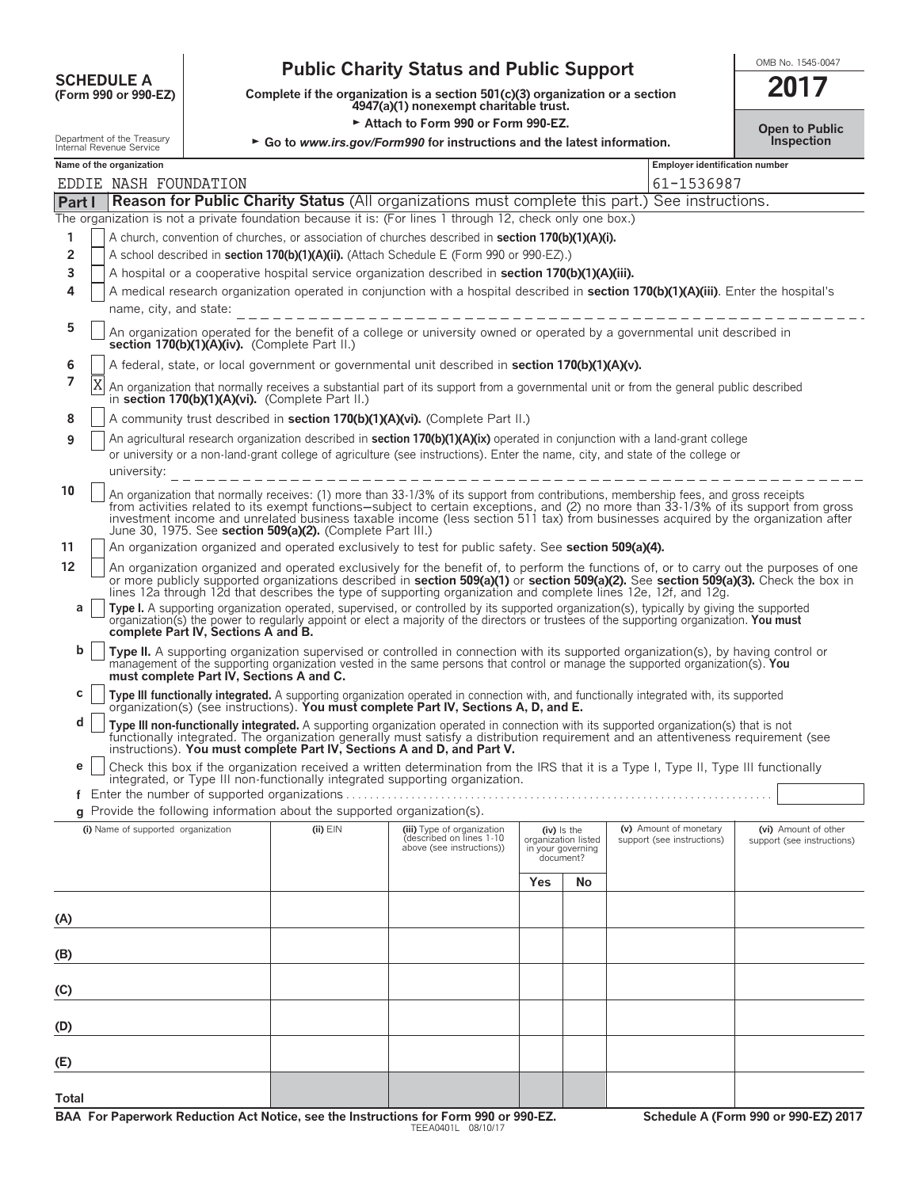# **COMB No. 1545-0047**<br>
Complete if the organization is a section 501(c)(3) organization or a section<br> **SCHEDULE A**<br> **SCHEDULE A**<br> **SCHEDULE A**<br> **SCHEDULE A**<br> **SCHEDULE A**<br> **SCHEDULE A**<br> **SCHEDULE A**<br> **SCHEDULE A**<br> **SCHEDULE**

**COMPOUTE A**<br>
(Form 990 or 990-EZ) Complete if the organization is a section 501(c)(3) organization or a section<br>
4947(a)(1) nonexempt charitable trust.

| Attach to Form 990 or Form 990-EZ.                     |                                                                                                                                                                |                                          |                                                                          |                                                                                                                                                                                                                                                                                                                                                                                                                    | <b>Open to Public</b>                                                    |                                    |                                                      |                                                    |
|--------------------------------------------------------|----------------------------------------------------------------------------------------------------------------------------------------------------------------|------------------------------------------|--------------------------------------------------------------------------|--------------------------------------------------------------------------------------------------------------------------------------------------------------------------------------------------------------------------------------------------------------------------------------------------------------------------------------------------------------------------------------------------------------------|--------------------------------------------------------------------------|------------------------------------|------------------------------------------------------|----------------------------------------------------|
| Department of the Treasury<br>Internal Revenue Service |                                                                                                                                                                |                                          |                                                                          |                                                                                                                                                                                                                                                                                                                                                                                                                    | ► Go to www.irs.gov/Form990 for instructions and the latest information. |                                    |                                                      | <b>Inspection</b>                                  |
|                                                        | Name of the organization                                                                                                                                       |                                          |                                                                          |                                                                                                                                                                                                                                                                                                                                                                                                                    |                                                                          |                                    | Employer identification number                       |                                                    |
|                                                        | EDDIE NASH FOUNDATION<br>61-1536987                                                                                                                            |                                          |                                                                          |                                                                                                                                                                                                                                                                                                                                                                                                                    |                                                                          |                                    |                                                      |                                                    |
| Part I                                                 |                                                                                                                                                                |                                          |                                                                          | Reason for Public Charity Status (All organizations must complete this part.) See instructions.                                                                                                                                                                                                                                                                                                                    |                                                                          |                                    |                                                      |                                                    |
|                                                        |                                                                                                                                                                |                                          |                                                                          | The organization is not a private foundation because it is: (For lines 1 through 12, check only one box.)                                                                                                                                                                                                                                                                                                          |                                                                          |                                    |                                                      |                                                    |
| 1                                                      |                                                                                                                                                                |                                          |                                                                          | A church, convention of churches, or association of churches described in section 170(b)(1)(A)(i).                                                                                                                                                                                                                                                                                                                 |                                                                          |                                    |                                                      |                                                    |
| $\overline{2}$                                         |                                                                                                                                                                |                                          |                                                                          | A school described in section 170(b)(1)(A)(ii). (Attach Schedule E (Form 990 or 990-EZ).)                                                                                                                                                                                                                                                                                                                          |                                                                          |                                    |                                                      |                                                    |
| 3                                                      |                                                                                                                                                                |                                          |                                                                          | A hospital or a cooperative hospital service organization described in section 170(b)(1)(A)(iii).                                                                                                                                                                                                                                                                                                                  |                                                                          |                                    |                                                      |                                                    |
| 4                                                      | A medical research organization operated in conjunction with a hospital described in section 170(b)(1)(A)(iii). Enter the hospital's<br>name, city, and state: |                                          |                                                                          |                                                                                                                                                                                                                                                                                                                                                                                                                    |                                                                          |                                    |                                                      |                                                    |
| 5                                                      |                                                                                                                                                                |                                          | section 170(b)(1)(A)(iv). (Complete Part II.)                            | _________________________<br>An organization operated for the benefit of a college or university owned or operated by a governmental unit described in                                                                                                                                                                                                                                                             |                                                                          |                                    |                                                      |                                                    |
| 6                                                      |                                                                                                                                                                |                                          |                                                                          | A federal, state, or local government or governmental unit described in section 170(b)(1)(A)(v).                                                                                                                                                                                                                                                                                                                   |                                                                          |                                    |                                                      |                                                    |
| 7                                                      | X                                                                                                                                                              |                                          | in section 170(b)(1)(A)(vi). (Complete Part II.)                         | An organization that normally receives a substantial part of its support from a governmental unit or from the general public described                                                                                                                                                                                                                                                                             |                                                                          |                                    |                                                      |                                                    |
| 8                                                      |                                                                                                                                                                |                                          |                                                                          | A community trust described in section 170(b)(1)(A)(vi). (Complete Part II.)                                                                                                                                                                                                                                                                                                                                       |                                                                          |                                    |                                                      |                                                    |
| 9                                                      |                                                                                                                                                                |                                          |                                                                          | An agricultural research organization described in <b>section 170(b)(1)(A)(ix)</b> operated in conjunction with a land-grant college<br>or university or a non-land-grant college of agriculture (see instructions). Enter the name, city, and state of the college or                                                                                                                                             |                                                                          |                                    |                                                      |                                                    |
|                                                        | university:                                                                                                                                                    |                                          |                                                                          |                                                                                                                                                                                                                                                                                                                                                                                                                    |                                                                          |                                    |                                                      |                                                    |
| 10                                                     |                                                                                                                                                                |                                          | June 30, 1975. See section 509(a)(2). (Complete Part III.)               | An organization that normally receives: (1) more than 33-1/3% of its support from contributions, membership fees, and gross receipts<br>from activities related to its exempt functions-subject to certain exceptions, and (2) no more than 33-1/3% of its support from gross<br>investment income and unrelated business taxable income (less section 511 tax) from businesses acquired by the organization after |                                                                          |                                    |                                                      |                                                    |
| 11                                                     |                                                                                                                                                                |                                          |                                                                          | An organization organized and operated exclusively to test for public safety. See section 509(a)(4).                                                                                                                                                                                                                                                                                                               |                                                                          |                                    |                                                      |                                                    |
| 12                                                     |                                                                                                                                                                |                                          |                                                                          | An organization organized and operated exclusively for the benefit of, to perform the functions of, or to carry out the purposes of one<br>or more publicly supported organizations described in section 509(a)(1) or section 509(a)(2). See section 509(a)(3). Check the box in                                                                                                                                   |                                                                          |                                    |                                                      |                                                    |
|                                                        |                                                                                                                                                                |                                          |                                                                          | lines 12a through 12d that describes the type of supporting organization and complete lines 12e, 12f, and 12g.                                                                                                                                                                                                                                                                                                     |                                                                          |                                    |                                                      |                                                    |
| a                                                      |                                                                                                                                                                | complete Part IV, Sections A and B.      |                                                                          | Type I. A supporting organization operated, supervised, or controlled by its supported organization(s), typically by giving the supported<br>organization(s) the power to regularly appoint or elect a majority of the directors or trustees of the supporting organization. You must                                                                                                                              |                                                                          |                                    |                                                      |                                                    |
| b                                                      |                                                                                                                                                                | must complete Part IV, Sections A and C. |                                                                          | Type II. A supporting organization supervised or controlled in connection with its supported organization(s), by having control or<br>management of the supporting organization vested in the same persons that control or manage the supported organization(s). You                                                                                                                                               |                                                                          |                                    |                                                      |                                                    |
| c                                                      |                                                                                                                                                                |                                          |                                                                          | Type III functionally integrated. A supporting organization operated in connection with, and functionally integrated with, its supported organization(s) (see instructions). You must complete Part IV, Sections A, D, and E.                                                                                                                                                                                      |                                                                          |                                    |                                                      |                                                    |
| d                                                      |                                                                                                                                                                |                                          |                                                                          | Type III non-functionally integrated. A supporting organization operated in connection with its supported organization(s) that is not<br>functionally integrated. The organization generally must satisfy a distribution requirement and an attentiveness requirement (see instructions). You must complete Part IV, Sections A and D, and Part V.                                                                 |                                                                          |                                    |                                                      |                                                    |
| e                                                      |                                                                                                                                                                |                                          |                                                                          | Check this box if the organization received a written determination from the IRS that it is a Type I, Type II, Type III functionally                                                                                                                                                                                                                                                                               |                                                                          |                                    |                                                      |                                                    |
|                                                        |                                                                                                                                                                |                                          | Enter the number of supported organizations                              | integrated, or Type III non-functionally integrated supporting organization.                                                                                                                                                                                                                                                                                                                                       |                                                                          |                                    |                                                      |                                                    |
|                                                        |                                                                                                                                                                |                                          | g Provide the following information about the supported organization(s). |                                                                                                                                                                                                                                                                                                                                                                                                                    |                                                                          |                                    |                                                      |                                                    |
|                                                        | (i) Name of supported organization                                                                                                                             |                                          | $(ii)$ $EIN$                                                             | (iii) Type of organization<br>described on lines 1-10<br>above (see instructions))                                                                                                                                                                                                                                                                                                                                 | organization listed<br>document?                                         | $(iv)$ is the<br>in your governing | (v) Amount of monetary<br>support (see instructions) | (vi) Amount of other<br>support (see instructions) |
|                                                        |                                                                                                                                                                |                                          |                                                                          |                                                                                                                                                                                                                                                                                                                                                                                                                    | Yes                                                                      | No                                 |                                                      |                                                    |
|                                                        |                                                                                                                                                                |                                          |                                                                          |                                                                                                                                                                                                                                                                                                                                                                                                                    |                                                                          |                                    |                                                      |                                                    |
| (A)                                                    |                                                                                                                                                                |                                          |                                                                          |                                                                                                                                                                                                                                                                                                                                                                                                                    |                                                                          |                                    |                                                      |                                                    |
| (B)                                                    |                                                                                                                                                                |                                          |                                                                          |                                                                                                                                                                                                                                                                                                                                                                                                                    |                                                                          |                                    |                                                      |                                                    |
| (C)                                                    |                                                                                                                                                                |                                          |                                                                          |                                                                                                                                                                                                                                                                                                                                                                                                                    |                                                                          |                                    |                                                      |                                                    |
| (D)                                                    |                                                                                                                                                                |                                          |                                                                          |                                                                                                                                                                                                                                                                                                                                                                                                                    |                                                                          |                                    |                                                      |                                                    |
| (E)                                                    |                                                                                                                                                                |                                          |                                                                          |                                                                                                                                                                                                                                                                                                                                                                                                                    |                                                                          |                                    |                                                      |                                                    |
| Total                                                  |                                                                                                                                                                |                                          |                                                                          |                                                                                                                                                                                                                                                                                                                                                                                                                    |                                                                          |                                    |                                                      |                                                    |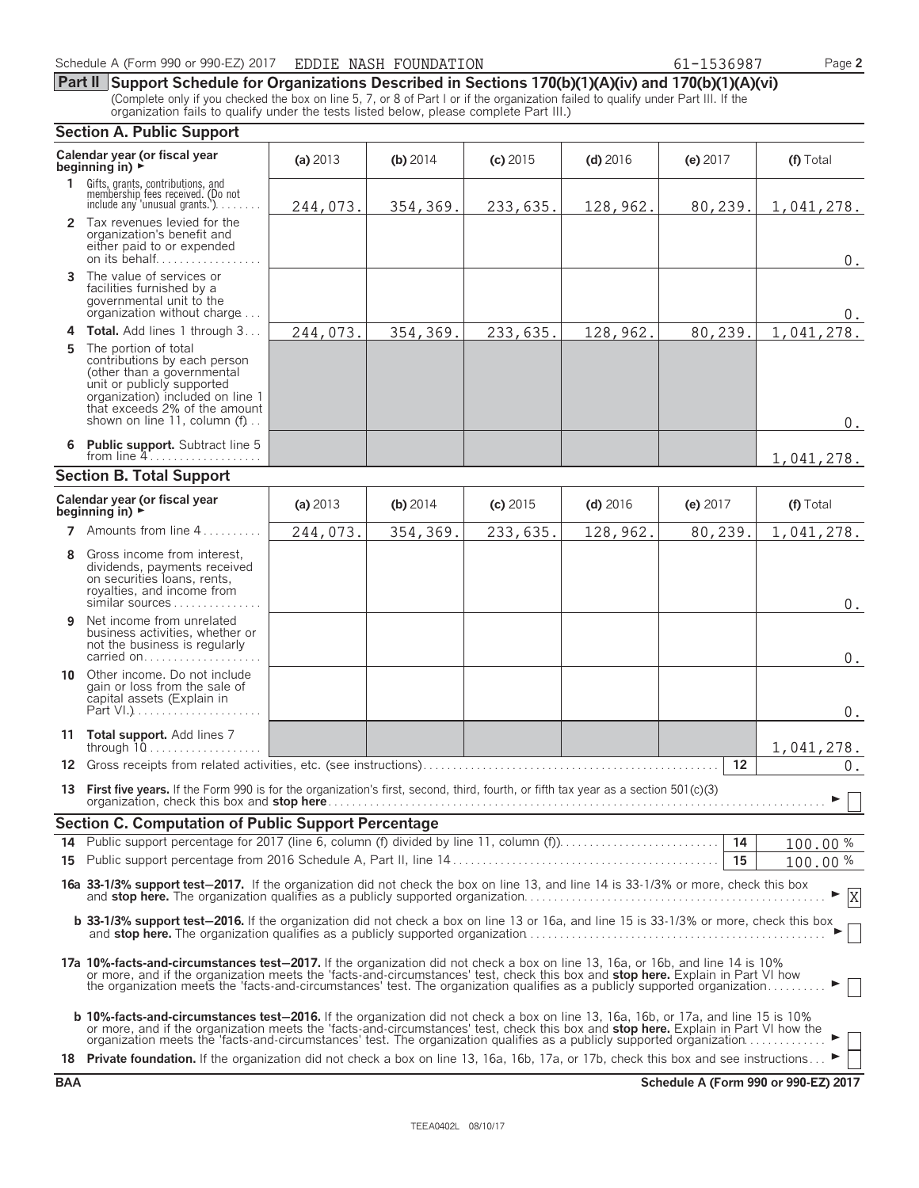**Part II Support Schedule for Organizations Described in Sections 170(b)(1)(A)(iv) and 170(b)(1)(A)(vi)** (Complete only if you checked the box on line 5, 7, or 8 of Part I or if the organization failed to qualify under Part III. If the organization fails to qualify under the tests listed below, please complete Part III.)

### **Section A. Public Support Calendar year (or fiscal year (a) 2013 (b) 2014 <b>(c) 2015 (d) 2016 <b>(e)** 2017 **(f)** Total **beginning in) (f)** Total **1** Gifts, grants, contributions, and<br>membership fees received. (Do not<br>include any 'unusual grants.'). . . . . . . . **2** Tax revenues levied for the organization's benefit and either paid to or expended on its behalf............ **3** The value of services or facilities furnished by a governmental unit to the organization without charge. . . . **4 Total.** Add lines 1 through 3 . . . **5** The portion of total contributions by each person (other than a governmental unit or publicly supported organization) included on line 1 that exceeds 2% of the amount shown on line 11, column (f). **6 Public support.** Subtract line 5 from line 4 . . . . . . . . . . . . . . . . . . . **Section B. Total Support Calendar year (or fiscal year (a)** <sup>2013</sup> **(b)** <sup>2014</sup> **(c)** <sup>2015</sup> **(d)** <sup>2016</sup> **(e)** <sup>2017</sup> **(f)** Total **beginning in)** <sup>G</sup> **7** Amounts from line 4...... **8** Gross income from interest, dividends, payments received on securities loans, rents, royalties, and income from similar sources . . . . . . . **9** Net income from unrelated business activities, whether or not the business is regularly carried on. . . . . . . . . . . . . . **10** Other income. Do not include gain or loss from the sale of capital assets (Explain in Part VI.). **11 Total support.** Add lines 7 through 10. . . . . . . . . . . . . . . . **12** Gross receipts from related activities, etc. (see instructions). . . . . . . . . . . . . . . . . . . . . . . . . . . . . . . . . . . . . . . . . . . . . . . . . . **12 13 First five years.** If the Form 990 is for the organization's first, second, third, fourth, or fifth tax year as a section 501(c)(3) organization, check this box and **stop here**. . . . . . . . . . . . . . . . . . . . . . . . . . . . . . . . . . . . . . . . . . . . . . . . . . . . . . . . . . . . . . . . . . . . . . . . . . . . . . . . . . . . G **Section C. Computation of Public Support Percentage 14** Public support percentage for 2017 (line 6, column (f) divided by line 11, column (f)). . . . . . . . . . . . . . . . . . . . . . . . . . . **14** % **15** Public support percentage from 2016 Schedule A, Part II, line 14 . . . . . . . . . . . . . . . . . . . . . . . . . . . . . . . . . . . . . . . . . . . . . **15** % **16a 33-1/3% support test**'**2017.** If the organization did not check the box on line 13, and line 14 is 33-1/3% or more, check this box and **stop here.** The organization qualifies as a publicly supported organization. . . . . . . . . . . . . . . . . . . . . . . . . . . . . . . . . . . . . . . . . . . . . . . . . . . G **b 33-1/3% support test-2016.** If the organization did not check a box on line 13 or 16a, and line 15 is 33-1/3% or more, check this box and **stop here.** The organization qualifies as a publicly supported organization. . . . . . . . . . . . . . . . . . . . . . . . . . . . . . . . . . . . . . . . . . . . . . . . . . . G **17a 10%-facts-and-circumstances test**'**2017.** If the organization did not check a box on line 13, 16a, or 16b, and line 14 is 10% or more, and if the organization meets the 'facts-and-circumstances' test, check this box and **stop here.** Explain in Part VI how the organization meets the 'facts-and-circumstances' test. The organization qualifies as a publicly supported organization. . . . . . . . . . G **b 10%-facts-and-circumstances test**'**2016.** If the organization did not check a box on line 13, 16a, 16b, or 17a, and line 15 is 10% or more, and if the organization meets the 'facts-and-circumstances' test, check this box and **stop here.** Explain in Part VI how the<br>organization meets the 'facts-and-circumstances' test. The organization qualifies as a 18 **Private foundation.** If the organization did not check a box on line 13, 16a, 16b, 17a, or 17b, check this box and see instructions. 244,073. 354,369. 233,635. 128,962. 80,239. 1,041,278. 0.  $\Omega$ 244,073. 354,369. 233,635. 128,962. 80,239. 1,041,278. 0. 1,041,278. 244,073. 354,369. 233,635. 128,962. 80,239. 1,041,278. 0. 0. 0. 1,041,278. 0. 100.00 100.00 X

**BAA Schedule A (Form 990 or 990-EZ) 2017**

| 987 |  |  |  |
|-----|--|--|--|
|     |  |  |  |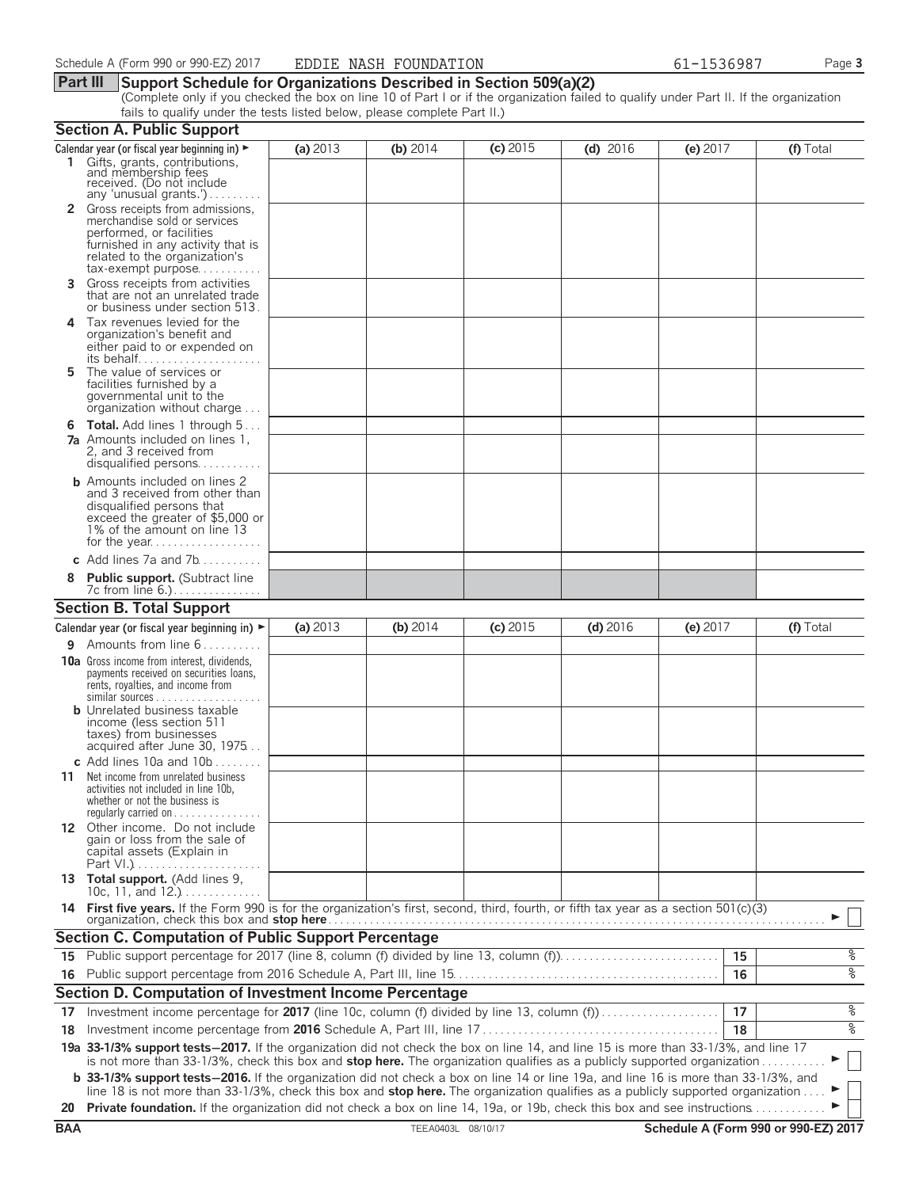### **Part III Support Schedule for Organizations Described in Section 509(a)(2)**

(Complete only if you checked the box on line 10 of Part I or if the organization failed to qualify under Part II. If the organization fails to qualify under the tests listed below, please complete Part II.)

| (c) 2015<br>(a) 2013<br>(b) 2014<br>$(d)$ 2016<br>(e) 2017<br>(f) Total<br>Calendar year (or fiscal year beginning in) $\blacktriangleright$<br>1 Gifts, grants, contributions,<br>and membership fees<br>received. (Do not include<br>any 'unusual grants.')<br>2 Gross receipts from admissions,<br>merchandise sold or services<br>performed, or facilities<br>furnished in any activity that is<br>related to the organization's<br>$tax\text{-}exempt$ purpose<br>Gross receipts from activities<br>3<br>that are not an unrelated trade<br>or business under section 513.<br>Tax revenues levied for the<br>4<br>organization's benefit and<br>either paid to or expended on<br>its behalf<br>The value of services or<br>5<br>facilities furnished by a<br>governmental unit to the<br>organization without charge<br><b>Total.</b> Add lines 1 through 5<br>6<br><b>7a</b> Amounts included on lines 1.<br>2, and 3 received from<br>disqualified persons<br><b>b</b> Amounts included on lines 2<br>and 3 received from other than<br>disqualified persons that<br>exceed the greater of \$5,000 or<br>1% of the amount on line 13<br>for the year<br>c Add lines $7a$ and $7b$<br><b>Public support.</b> (Subtract line<br><b>Section B. Total Support</b><br>(a) 2013<br>(c) 2015<br>(e) 2017<br>(b) 2014<br>$(d)$ 2016<br>(f) Total<br>Calendar year (or fiscal year beginning in) $\blacktriangleright$<br>Amounts from line 6<br>9<br><b>10a</b> Gross income from interest, dividends,<br>payments received on securities loans,<br>rents, royalties, and income from<br><b>b</b> Unrelated business taxable<br>income (less section 511<br>taxes) from businesses<br>acquired after June 30, 1975<br>c Add lines 10a and $10b$<br>11 Net income from unrelated business<br>activities not included in line 10b,<br>whether or not the business is<br>regularly carried on $\dots\dots\dots$<br>12 Other income. Do not include<br>gain or loss from the sale of<br>capital assets (Explain in<br>13 Total support. (Add lines 9,<br>10c, 11, and $12.$<br>14 First five years. If the Form 990 is for the organization's first, second, third, fourth, or fifth tax year as a section 501(c)(3)<br><b>Section C. Computation of Public Support Percentage</b><br>15 Public support percentage for 2017 (line 8, column (f) divided by line 13, column (f)<br>15<br>16<br><b>Section D. Computation of Investment Income Percentage</b><br>Investment income percentage for 2017 (line 10c, column (f) divided by line 13, column (f)<br>17<br>17<br>18<br>18<br>19a 33-1/3% support tests-2017. If the organization did not check the box on line 14, and line 15 is more than 33-1/3%, and line 17<br>is not more than 33-1/3%, check this box and stop here. The organization qualifies as a publicly supported organization<br><b>b</b> 33-1/3% support tests-2016. If the organization did not check a box on line 14 or line 19a, and line 16 is more than 33-1/3%, and<br>line 18 is not more than 33-1/3%, check this box and stop here. The organization qualifies as a publicly supported organization<br>Private foundation. If the organization did not check a box on line 14, 19a, or 19b, check this box and see instructions.<br>20<br><b>BAA</b><br>Schedule A (Form 990 or 990-EZ) 2017<br>TEEA0403L 08/10/17 | <b>Section A. Public Support</b> |  |  |                      |
|------------------------------------------------------------------------------------------------------------------------------------------------------------------------------------------------------------------------------------------------------------------------------------------------------------------------------------------------------------------------------------------------------------------------------------------------------------------------------------------------------------------------------------------------------------------------------------------------------------------------------------------------------------------------------------------------------------------------------------------------------------------------------------------------------------------------------------------------------------------------------------------------------------------------------------------------------------------------------------------------------------------------------------------------------------------------------------------------------------------------------------------------------------------------------------------------------------------------------------------------------------------------------------------------------------------------------------------------------------------------------------------------------------------------------------------------------------------------------------------------------------------------------------------------------------------------------------------------------------------------------------------------------------------------------------------------------------------------------------------------------------------------------------------------------------------------------------------------------------------------------------------------------------------------------------------------------------------------------------------------------------------------------------------------------------------------------------------------------------------------------------------------------------------------------------------------------------------------------------------------------------------------------------------------------------------------------------------------------------------------------------------------------------------------------------------------------------------------------------------------------------------------------------------------------------------------------------------------------------------------------------------------------------------------------------------------------------------------------------------------------------------------------------------------------------------------------------------------------------------------------------------------------------------------------------------------------------------------------------------------------------------------------------------------------------------------------------------------------------------------------------------------------------------------------------------------------------------------------------------------------------------------------------------------------------------------------------------------|----------------------------------|--|--|----------------------|
|                                                                                                                                                                                                                                                                                                                                                                                                                                                                                                                                                                                                                                                                                                                                                                                                                                                                                                                                                                                                                                                                                                                                                                                                                                                                                                                                                                                                                                                                                                                                                                                                                                                                                                                                                                                                                                                                                                                                                                                                                                                                                                                                                                                                                                                                                                                                                                                                                                                                                                                                                                                                                                                                                                                                                                                                                                                                                                                                                                                                                                                                                                                                                                                                                                                                                                                                                |                                  |  |  |                      |
|                                                                                                                                                                                                                                                                                                                                                                                                                                                                                                                                                                                                                                                                                                                                                                                                                                                                                                                                                                                                                                                                                                                                                                                                                                                                                                                                                                                                                                                                                                                                                                                                                                                                                                                                                                                                                                                                                                                                                                                                                                                                                                                                                                                                                                                                                                                                                                                                                                                                                                                                                                                                                                                                                                                                                                                                                                                                                                                                                                                                                                                                                                                                                                                                                                                                                                                                                |                                  |  |  |                      |
|                                                                                                                                                                                                                                                                                                                                                                                                                                                                                                                                                                                                                                                                                                                                                                                                                                                                                                                                                                                                                                                                                                                                                                                                                                                                                                                                                                                                                                                                                                                                                                                                                                                                                                                                                                                                                                                                                                                                                                                                                                                                                                                                                                                                                                                                                                                                                                                                                                                                                                                                                                                                                                                                                                                                                                                                                                                                                                                                                                                                                                                                                                                                                                                                                                                                                                                                                |                                  |  |  |                      |
|                                                                                                                                                                                                                                                                                                                                                                                                                                                                                                                                                                                                                                                                                                                                                                                                                                                                                                                                                                                                                                                                                                                                                                                                                                                                                                                                                                                                                                                                                                                                                                                                                                                                                                                                                                                                                                                                                                                                                                                                                                                                                                                                                                                                                                                                                                                                                                                                                                                                                                                                                                                                                                                                                                                                                                                                                                                                                                                                                                                                                                                                                                                                                                                                                                                                                                                                                |                                  |  |  |                      |
|                                                                                                                                                                                                                                                                                                                                                                                                                                                                                                                                                                                                                                                                                                                                                                                                                                                                                                                                                                                                                                                                                                                                                                                                                                                                                                                                                                                                                                                                                                                                                                                                                                                                                                                                                                                                                                                                                                                                                                                                                                                                                                                                                                                                                                                                                                                                                                                                                                                                                                                                                                                                                                                                                                                                                                                                                                                                                                                                                                                                                                                                                                                                                                                                                                                                                                                                                |                                  |  |  |                      |
|                                                                                                                                                                                                                                                                                                                                                                                                                                                                                                                                                                                                                                                                                                                                                                                                                                                                                                                                                                                                                                                                                                                                                                                                                                                                                                                                                                                                                                                                                                                                                                                                                                                                                                                                                                                                                                                                                                                                                                                                                                                                                                                                                                                                                                                                                                                                                                                                                                                                                                                                                                                                                                                                                                                                                                                                                                                                                                                                                                                                                                                                                                                                                                                                                                                                                                                                                |                                  |  |  |                      |
|                                                                                                                                                                                                                                                                                                                                                                                                                                                                                                                                                                                                                                                                                                                                                                                                                                                                                                                                                                                                                                                                                                                                                                                                                                                                                                                                                                                                                                                                                                                                                                                                                                                                                                                                                                                                                                                                                                                                                                                                                                                                                                                                                                                                                                                                                                                                                                                                                                                                                                                                                                                                                                                                                                                                                                                                                                                                                                                                                                                                                                                                                                                                                                                                                                                                                                                                                |                                  |  |  |                      |
|                                                                                                                                                                                                                                                                                                                                                                                                                                                                                                                                                                                                                                                                                                                                                                                                                                                                                                                                                                                                                                                                                                                                                                                                                                                                                                                                                                                                                                                                                                                                                                                                                                                                                                                                                                                                                                                                                                                                                                                                                                                                                                                                                                                                                                                                                                                                                                                                                                                                                                                                                                                                                                                                                                                                                                                                                                                                                                                                                                                                                                                                                                                                                                                                                                                                                                                                                |                                  |  |  |                      |
|                                                                                                                                                                                                                                                                                                                                                                                                                                                                                                                                                                                                                                                                                                                                                                                                                                                                                                                                                                                                                                                                                                                                                                                                                                                                                                                                                                                                                                                                                                                                                                                                                                                                                                                                                                                                                                                                                                                                                                                                                                                                                                                                                                                                                                                                                                                                                                                                                                                                                                                                                                                                                                                                                                                                                                                                                                                                                                                                                                                                                                                                                                                                                                                                                                                                                                                                                |                                  |  |  |                      |
|                                                                                                                                                                                                                                                                                                                                                                                                                                                                                                                                                                                                                                                                                                                                                                                                                                                                                                                                                                                                                                                                                                                                                                                                                                                                                                                                                                                                                                                                                                                                                                                                                                                                                                                                                                                                                                                                                                                                                                                                                                                                                                                                                                                                                                                                                                                                                                                                                                                                                                                                                                                                                                                                                                                                                                                                                                                                                                                                                                                                                                                                                                                                                                                                                                                                                                                                                |                                  |  |  |                      |
|                                                                                                                                                                                                                                                                                                                                                                                                                                                                                                                                                                                                                                                                                                                                                                                                                                                                                                                                                                                                                                                                                                                                                                                                                                                                                                                                                                                                                                                                                                                                                                                                                                                                                                                                                                                                                                                                                                                                                                                                                                                                                                                                                                                                                                                                                                                                                                                                                                                                                                                                                                                                                                                                                                                                                                                                                                                                                                                                                                                                                                                                                                                                                                                                                                                                                                                                                |                                  |  |  |                      |
|                                                                                                                                                                                                                                                                                                                                                                                                                                                                                                                                                                                                                                                                                                                                                                                                                                                                                                                                                                                                                                                                                                                                                                                                                                                                                                                                                                                                                                                                                                                                                                                                                                                                                                                                                                                                                                                                                                                                                                                                                                                                                                                                                                                                                                                                                                                                                                                                                                                                                                                                                                                                                                                                                                                                                                                                                                                                                                                                                                                                                                                                                                                                                                                                                                                                                                                                                |                                  |  |  |                      |
|                                                                                                                                                                                                                                                                                                                                                                                                                                                                                                                                                                                                                                                                                                                                                                                                                                                                                                                                                                                                                                                                                                                                                                                                                                                                                                                                                                                                                                                                                                                                                                                                                                                                                                                                                                                                                                                                                                                                                                                                                                                                                                                                                                                                                                                                                                                                                                                                                                                                                                                                                                                                                                                                                                                                                                                                                                                                                                                                                                                                                                                                                                                                                                                                                                                                                                                                                |                                  |  |  |                      |
|                                                                                                                                                                                                                                                                                                                                                                                                                                                                                                                                                                                                                                                                                                                                                                                                                                                                                                                                                                                                                                                                                                                                                                                                                                                                                                                                                                                                                                                                                                                                                                                                                                                                                                                                                                                                                                                                                                                                                                                                                                                                                                                                                                                                                                                                                                                                                                                                                                                                                                                                                                                                                                                                                                                                                                                                                                                                                                                                                                                                                                                                                                                                                                                                                                                                                                                                                |                                  |  |  |                      |
|                                                                                                                                                                                                                                                                                                                                                                                                                                                                                                                                                                                                                                                                                                                                                                                                                                                                                                                                                                                                                                                                                                                                                                                                                                                                                                                                                                                                                                                                                                                                                                                                                                                                                                                                                                                                                                                                                                                                                                                                                                                                                                                                                                                                                                                                                                                                                                                                                                                                                                                                                                                                                                                                                                                                                                                                                                                                                                                                                                                                                                                                                                                                                                                                                                                                                                                                                |                                  |  |  |                      |
|                                                                                                                                                                                                                                                                                                                                                                                                                                                                                                                                                                                                                                                                                                                                                                                                                                                                                                                                                                                                                                                                                                                                                                                                                                                                                                                                                                                                                                                                                                                                                                                                                                                                                                                                                                                                                                                                                                                                                                                                                                                                                                                                                                                                                                                                                                                                                                                                                                                                                                                                                                                                                                                                                                                                                                                                                                                                                                                                                                                                                                                                                                                                                                                                                                                                                                                                                |                                  |  |  |                      |
|                                                                                                                                                                                                                                                                                                                                                                                                                                                                                                                                                                                                                                                                                                                                                                                                                                                                                                                                                                                                                                                                                                                                                                                                                                                                                                                                                                                                                                                                                                                                                                                                                                                                                                                                                                                                                                                                                                                                                                                                                                                                                                                                                                                                                                                                                                                                                                                                                                                                                                                                                                                                                                                                                                                                                                                                                                                                                                                                                                                                                                                                                                                                                                                                                                                                                                                                                |                                  |  |  |                      |
|                                                                                                                                                                                                                                                                                                                                                                                                                                                                                                                                                                                                                                                                                                                                                                                                                                                                                                                                                                                                                                                                                                                                                                                                                                                                                                                                                                                                                                                                                                                                                                                                                                                                                                                                                                                                                                                                                                                                                                                                                                                                                                                                                                                                                                                                                                                                                                                                                                                                                                                                                                                                                                                                                                                                                                                                                                                                                                                                                                                                                                                                                                                                                                                                                                                                                                                                                |                                  |  |  |                      |
|                                                                                                                                                                                                                                                                                                                                                                                                                                                                                                                                                                                                                                                                                                                                                                                                                                                                                                                                                                                                                                                                                                                                                                                                                                                                                                                                                                                                                                                                                                                                                                                                                                                                                                                                                                                                                                                                                                                                                                                                                                                                                                                                                                                                                                                                                                                                                                                                                                                                                                                                                                                                                                                                                                                                                                                                                                                                                                                                                                                                                                                                                                                                                                                                                                                                                                                                                |                                  |  |  |                      |
|                                                                                                                                                                                                                                                                                                                                                                                                                                                                                                                                                                                                                                                                                                                                                                                                                                                                                                                                                                                                                                                                                                                                                                                                                                                                                                                                                                                                                                                                                                                                                                                                                                                                                                                                                                                                                                                                                                                                                                                                                                                                                                                                                                                                                                                                                                                                                                                                                                                                                                                                                                                                                                                                                                                                                                                                                                                                                                                                                                                                                                                                                                                                                                                                                                                                                                                                                |                                  |  |  |                      |
|                                                                                                                                                                                                                                                                                                                                                                                                                                                                                                                                                                                                                                                                                                                                                                                                                                                                                                                                                                                                                                                                                                                                                                                                                                                                                                                                                                                                                                                                                                                                                                                                                                                                                                                                                                                                                                                                                                                                                                                                                                                                                                                                                                                                                                                                                                                                                                                                                                                                                                                                                                                                                                                                                                                                                                                                                                                                                                                                                                                                                                                                                                                                                                                                                                                                                                                                                |                                  |  |  |                      |
|                                                                                                                                                                                                                                                                                                                                                                                                                                                                                                                                                                                                                                                                                                                                                                                                                                                                                                                                                                                                                                                                                                                                                                                                                                                                                                                                                                                                                                                                                                                                                                                                                                                                                                                                                                                                                                                                                                                                                                                                                                                                                                                                                                                                                                                                                                                                                                                                                                                                                                                                                                                                                                                                                                                                                                                                                                                                                                                                                                                                                                                                                                                                                                                                                                                                                                                                                |                                  |  |  |                      |
|                                                                                                                                                                                                                                                                                                                                                                                                                                                                                                                                                                                                                                                                                                                                                                                                                                                                                                                                                                                                                                                                                                                                                                                                                                                                                                                                                                                                                                                                                                                                                                                                                                                                                                                                                                                                                                                                                                                                                                                                                                                                                                                                                                                                                                                                                                                                                                                                                                                                                                                                                                                                                                                                                                                                                                                                                                                                                                                                                                                                                                                                                                                                                                                                                                                                                                                                                |                                  |  |  | နွ                   |
|                                                                                                                                                                                                                                                                                                                                                                                                                                                                                                                                                                                                                                                                                                                                                                                                                                                                                                                                                                                                                                                                                                                                                                                                                                                                                                                                                                                                                                                                                                                                                                                                                                                                                                                                                                                                                                                                                                                                                                                                                                                                                                                                                                                                                                                                                                                                                                                                                                                                                                                                                                                                                                                                                                                                                                                                                                                                                                                                                                                                                                                                                                                                                                                                                                                                                                                                                |                                  |  |  | $\frac{1}{\sqrt{2}}$ |
|                                                                                                                                                                                                                                                                                                                                                                                                                                                                                                                                                                                                                                                                                                                                                                                                                                                                                                                                                                                                                                                                                                                                                                                                                                                                                                                                                                                                                                                                                                                                                                                                                                                                                                                                                                                                                                                                                                                                                                                                                                                                                                                                                                                                                                                                                                                                                                                                                                                                                                                                                                                                                                                                                                                                                                                                                                                                                                                                                                                                                                                                                                                                                                                                                                                                                                                                                |                                  |  |  |                      |
|                                                                                                                                                                                                                                                                                                                                                                                                                                                                                                                                                                                                                                                                                                                                                                                                                                                                                                                                                                                                                                                                                                                                                                                                                                                                                                                                                                                                                                                                                                                                                                                                                                                                                                                                                                                                                                                                                                                                                                                                                                                                                                                                                                                                                                                                                                                                                                                                                                                                                                                                                                                                                                                                                                                                                                                                                                                                                                                                                                                                                                                                                                                                                                                                                                                                                                                                                |                                  |  |  | %                    |
|                                                                                                                                                                                                                                                                                                                                                                                                                                                                                                                                                                                                                                                                                                                                                                                                                                                                                                                                                                                                                                                                                                                                                                                                                                                                                                                                                                                                                                                                                                                                                                                                                                                                                                                                                                                                                                                                                                                                                                                                                                                                                                                                                                                                                                                                                                                                                                                                                                                                                                                                                                                                                                                                                                                                                                                                                                                                                                                                                                                                                                                                                                                                                                                                                                                                                                                                                |                                  |  |  | $\frac{1}{\sqrt{2}}$ |
|                                                                                                                                                                                                                                                                                                                                                                                                                                                                                                                                                                                                                                                                                                                                                                                                                                                                                                                                                                                                                                                                                                                                                                                                                                                                                                                                                                                                                                                                                                                                                                                                                                                                                                                                                                                                                                                                                                                                                                                                                                                                                                                                                                                                                                                                                                                                                                                                                                                                                                                                                                                                                                                                                                                                                                                                                                                                                                                                                                                                                                                                                                                                                                                                                                                                                                                                                |                                  |  |  |                      |
|                                                                                                                                                                                                                                                                                                                                                                                                                                                                                                                                                                                                                                                                                                                                                                                                                                                                                                                                                                                                                                                                                                                                                                                                                                                                                                                                                                                                                                                                                                                                                                                                                                                                                                                                                                                                                                                                                                                                                                                                                                                                                                                                                                                                                                                                                                                                                                                                                                                                                                                                                                                                                                                                                                                                                                                                                                                                                                                                                                                                                                                                                                                                                                                                                                                                                                                                                |                                  |  |  |                      |
|                                                                                                                                                                                                                                                                                                                                                                                                                                                                                                                                                                                                                                                                                                                                                                                                                                                                                                                                                                                                                                                                                                                                                                                                                                                                                                                                                                                                                                                                                                                                                                                                                                                                                                                                                                                                                                                                                                                                                                                                                                                                                                                                                                                                                                                                                                                                                                                                                                                                                                                                                                                                                                                                                                                                                                                                                                                                                                                                                                                                                                                                                                                                                                                                                                                                                                                                                |                                  |  |  |                      |
|                                                                                                                                                                                                                                                                                                                                                                                                                                                                                                                                                                                                                                                                                                                                                                                                                                                                                                                                                                                                                                                                                                                                                                                                                                                                                                                                                                                                                                                                                                                                                                                                                                                                                                                                                                                                                                                                                                                                                                                                                                                                                                                                                                                                                                                                                                                                                                                                                                                                                                                                                                                                                                                                                                                                                                                                                                                                                                                                                                                                                                                                                                                                                                                                                                                                                                                                                |                                  |  |  |                      |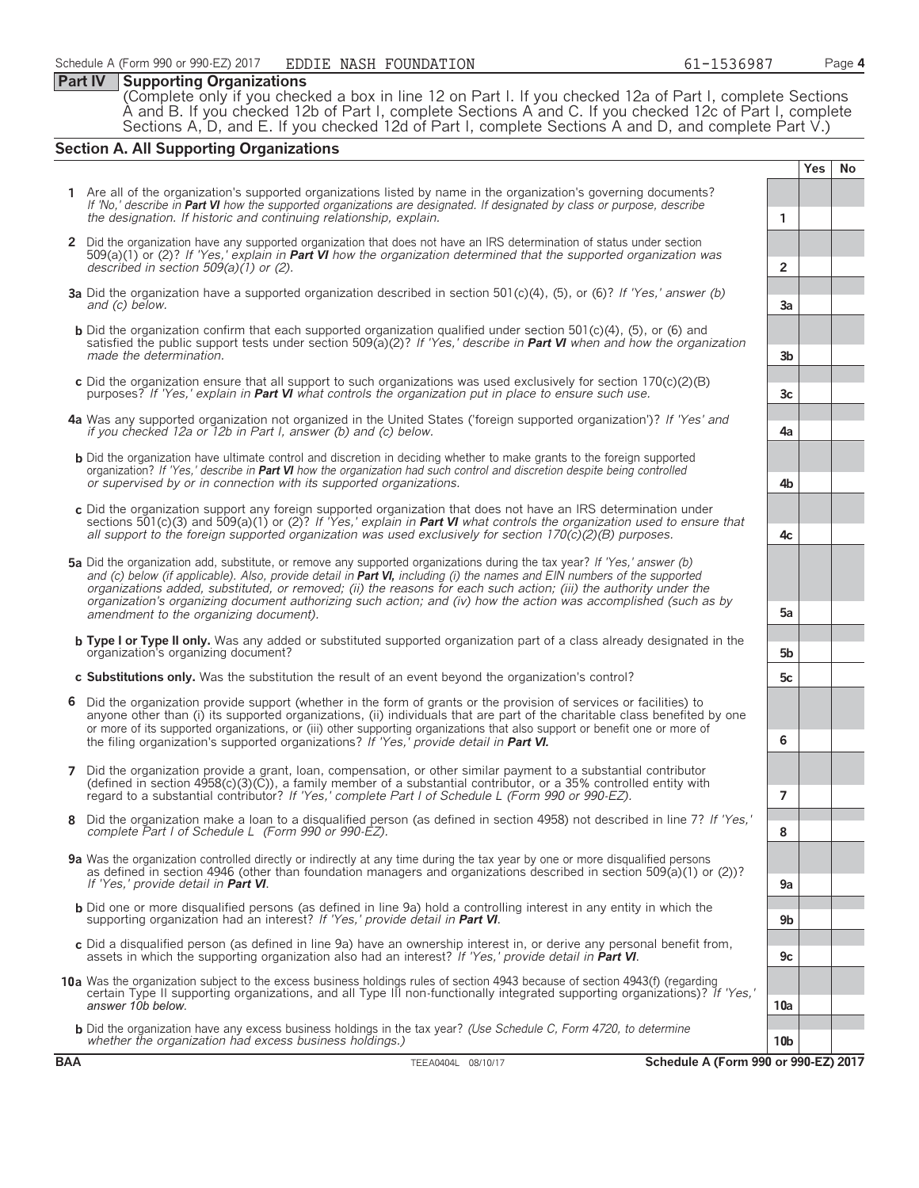### **Part IV Supporting Organizations**

(Complete only if you checked a box in line 12 on Part I. If you checked 12a of Part I, complete Sections A and B. If you checked 12b of Part I, complete Sections A and C. If you checked 12c of Part I, complete Sections A, D, and E. If you checked 12d of Part I, complete Sections A and D, and complete Part V.)

### **Section A. All Supporting Organizations**

**Yes No 1** Are all of the organization's supported organizations listed by name in the organization's governing documents? *If 'No,' describe in Part VI how the supported organizations are designated. If designated by class or purpose, describe the designation. If historic and continuing relationship, explain.* **1 2** Did the organization have any supported organization that does not have an IRS determination of status under section 509(a)(1) or (2)? *If 'Yes,' explain in Part VI how the organization determined that the supported organization was described in section 509(a)(1) or (2).* **2 3a** Did the organization have a supported organization described in section 501(c)(4), (5), or (6)? *If 'Yes,' answer (b) and (c) below.* **3a b** Did the organization confirm that each supported organization qualified under section 501(c)(4), (5), or (6) and satisfied the public support tests under section 509(a)(2)? *If 'Yes,' describe in Part VI when and how the organization made the determination.* **3b c** Did the organization ensure that all support to such organizations was used exclusively for section 170(c)(2)(B) purposes? *If 'Yes,' explain in Part VI what controls the organization put in place to ensure such use.*  $\begin{bmatrix} 1 & 3c \\ 2c & 3c \end{bmatrix}$  *3c* **4a** Was any supported organization not organized in the United States ('foreign supported organization')? *If 'Yes' and if you checked 12a or 12b in Part I, answer (b) and (c) below.* **4a b** Did the organization have ultimate control and discretion in deciding whether to make grants to the foreign supported organization? *If 'Yes,' describe in Part VI how the organization had such control and discretion despite being controlled or supervised by or in connection with its supported organizations.* **4b c** Did the organization support any foreign supported organization that does not have an IRS determination under sections 501(c)(3) and 509(a)(1) or (2)? *If 'Yes,' explain in Part VI what controls the organization used to ensure that all support to the foreign supported organization was used exclusively for section 170(c)(2)(B) purposes.* **4c 5a** Did the organization add, substitute, or remove any supported organizations during the tax year? *If 'Yes,' answer (b)* and (c) below (if applicable). Also, provide detail in **Part VI**, including (i) the names and EIN numbers of the supported *organizations added, substituted, or removed; (ii) the reasons for each such action; (iii) the authority under the organization's organizing document authorizing such action; and (iv) how the action was accomplished (such as by amendment to the organizing document).* **5a b Type I or Type II only.** Was any added or substituted supported organization part of a class already designated in the organization's organizing document? **5b c Substitutions only.** Was the substitution the result of an event beyond the organization's control? **5c 6** Did the organization provide support (whether in the form of grants or the provision of services or facilities) to anyone other than (i) its supported organizations, (ii) individuals that are part of the charitable class benefited by one or more of its supported organizations, or (iii) other supporting organizations that also support or benefit one or more of the filing organization's supported organizations? *If 'Yes,' provide detail in Part VI.* **6 7** Did the organization provide a grant, loan, compensation, or other similar payment to a substantial contributor (defined in section 4958(c)(3)(C)), a family member of a substantial contributor, or a 35% controlled entity with regard to a substantial contributor? *If 'Yes,' complete Part I of Schedule L (Form 990 or 990-EZ).* **7 8** Did the organization make a loan to a disqualified person (as defined in section 4958) not described in line 7? *If 'Yes,' complete Part I of Schedule L (Form 990 or 990-EZ).* **8 9a** Was the organization controlled directly or indirectly at any time during the tax year by one or more disqualified persons as defined in section 4946 (other than foundation managers and organizations described in section 509(a)(1) or (2))? *If 'Yes,' provide detail in Part VI*. **9a** b Did one or more disqualified persons (as defined in line 9a) hold a controlling interest in any entity in which the<br>supporting organization had an interest? If 'Yes,' provide detail in **Part VI**. **c** Did a disqualified person (as defined in line 9a) have an ownership interest in, or derive any personal benefit from, assets in which the supporting organization also had an interest? *If 'Yes,' provide detail in Part VI*. **9c 10a** Was the organization subject to the excess business holdings rules of section 4943 because of section 4943(f) (regarding certain Type II supporting organizations, and all Type III non-functionally integrated supporting organizations)? *If 'Yes,' answer 10b below.* **10a b** Did the organization have any excess business holdings in the tax year? *(Use Schedule C, Form 4720, to determine whether the organization had excess business holdings.)* **10b**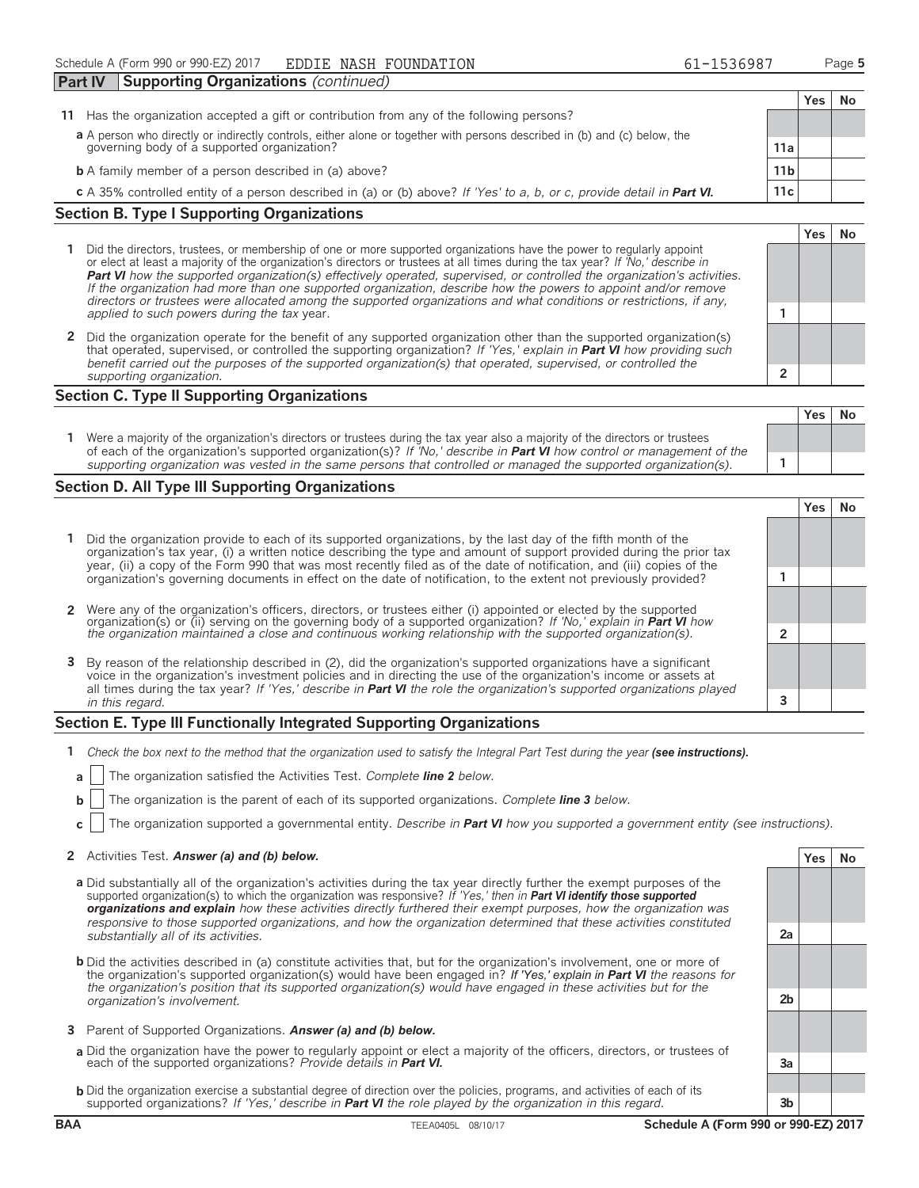|                                                                                                                                       | <b>Part IV</b> | Supporting Organizations (continued)                                                                                      |                 |     |    |
|---------------------------------------------------------------------------------------------------------------------------------------|----------------|---------------------------------------------------------------------------------------------------------------------------|-----------------|-----|----|
|                                                                                                                                       |                |                                                                                                                           |                 | Yes | Νo |
| 11                                                                                                                                    |                | Has the organization accepted a gift or contribution from any of the following persons?                                   |                 |     |    |
|                                                                                                                                       |                | a A person who directly or indirectly controls, either alone or together with persons described in (b) and (c) below, the |                 |     |    |
|                                                                                                                                       |                | governing body of a supported organization?                                                                               | 11a             |     |    |
|                                                                                                                                       |                | <b>b</b> A family member of a person described in (a) above?                                                              | 11 <sub>b</sub> |     |    |
| 11c<br>c A 35% controlled entity of a person described in (a) or (b) above? If 'Yes' to a, b, or c, provide detail in <b>Part VI.</b> |                |                                                                                                                           |                 |     |    |
|                                                                                                                                       |                | <b>Section B. Type I Supporting Organizations</b>                                                                         |                 |     |    |

- **1** Did the directors, trustees, or membership of one or more supported organizations have the power to regularly appoint or elect at least a majority of the organization's directors or trustees at all times during the tax year? *If 'No,' describe in Part VI how the supported organization(s) effectively operated, supervised, or controlled the organization's activities. If the organization had more than one supported organization, describe how the powers to appoint and/or remove directors or trustees were allocated among the supported organizations and what conditions or restrictions, if any, applied to such powers during the tax* year. **1**
- **2** Did the organization operate for the benefit of any supported organization other than the supported organization(s) that operated, supervised, or controlled the supporting organization? *If 'Yes,' explain in Part VI how providing such benefit carried out the purposes of the supported organization(s) that operated, supervised, or controlled the supporting organization.* **2**

### **Section C. Type II Supporting Organizations**

|                                                                                                                                                                                                                                                               | . | . |
|---------------------------------------------------------------------------------------------------------------------------------------------------------------------------------------------------------------------------------------------------------------|---|---|
| Were a majority of the organization's directors or trustees during the tax year also a majority of the directors or trustees<br>of each of the organization's supported organization(s)? If 'No,' describe in <b>Part VI</b> how control or management of the |   |   |
| supporting organization was vested in the same persons that controlled or managed the supported organization(s).                                                                                                                                              |   |   |

### **Section D. All Type III Supporting Organizations**

|                                                                                                                                                                                                                                                                                                                                                                     | res |  |
|---------------------------------------------------------------------------------------------------------------------------------------------------------------------------------------------------------------------------------------------------------------------------------------------------------------------------------------------------------------------|-----|--|
| 1 Did the organization provide to each of its supported organizations, by the last day of the fifth month of the<br>organization's tax year, (i) a written notice describing the type and amount of support provided during the prior tax<br>year, (ii) a copy of the Form 990 that was most recently filed as of the date of notification, and (iii) copies of the |     |  |
| organization's governing documents in effect on the date of notification, to the extent not previously provided?                                                                                                                                                                                                                                                    |     |  |
|                                                                                                                                                                                                                                                                                                                                                                     |     |  |
|                                                                                                                                                                                                                                                                                                                                                                     |     |  |
| 2 Were any of the organization's officers, directors, or trustees either (i) appointed or elected by the supported organization(s) or (ii) serving on the governing body of a supported organization? If 'No,' explain in Part                                                                                                                                      |     |  |
|                                                                                                                                                                                                                                                                                                                                                                     |     |  |
| 3 By reason of the relationship described in (2), did the organization's supported organizations have a significant<br>voice in the organization's investment policies and in directing the use of the organization's income or assets at                                                                                                                           |     |  |
| all times during the tax year? If 'Yes,' describe in <b>Part VI</b> the role the organization's supported organizations played                                                                                                                                                                                                                                      |     |  |
| in this regard.                                                                                                                                                                                                                                                                                                                                                     |     |  |

### **Section E. Type III Functionally Integrated Supporting Organizations**

- **1** *Check the box next to the method that the organization used to satisfy the Integral Part Test during the year (see instructions).* 
	- **a** The organization satisfied the Activities Test. *Complete line 2 below.*
	- **b** The organization is the parent of each of its supported organizations. *Complete line 3 below.*
	- **c** The organization supported a governmental entity. *Describe in Part VI how you supported a government entity (see instructions).*

### **2** Activities Test. *Answer (a) and (b) below.* **<b>Yes No Yes No**

- **a** Did substantially all of the organization's activities during the tax year directly further the exempt purposes of the supported organization(s) to which the organization was responsive? *If 'Yes,' then in Part VI identify those supported organizations and explain how these activities directly furthered their exempt purposes, how the organization was responsive to those supported organizations, and how the organization determined that these activities constituted substantially all of its activities.* **2a**
- **b** Did the activities described in (a) constitute activities that, but for the organization's involvement, one or more of the organization's supported organization(s) would have been engaged in? *If 'Yes,' explain in Part VI the reasons for the organization's position that its supported organization(s) would have engaged in these activities but for the organization's involvement.* **2b**
- **3** Parent of Supported Organizations. *Answer (a) and (b) below.*
- **a** Did the organization have the power to regularly appoint or elect a majority of the officers, directors, or trustees of each of the supported organizations? *Provide details in Part VI.* **3a**
- **b** Did the organization exercise a substantial degree of direction over the policies, programs, and activities of each of its supported organizations? *If 'Yes,' describe in Part VI the role played by the organization in this regard.* **3b**

**Yes No**

**Yes No**

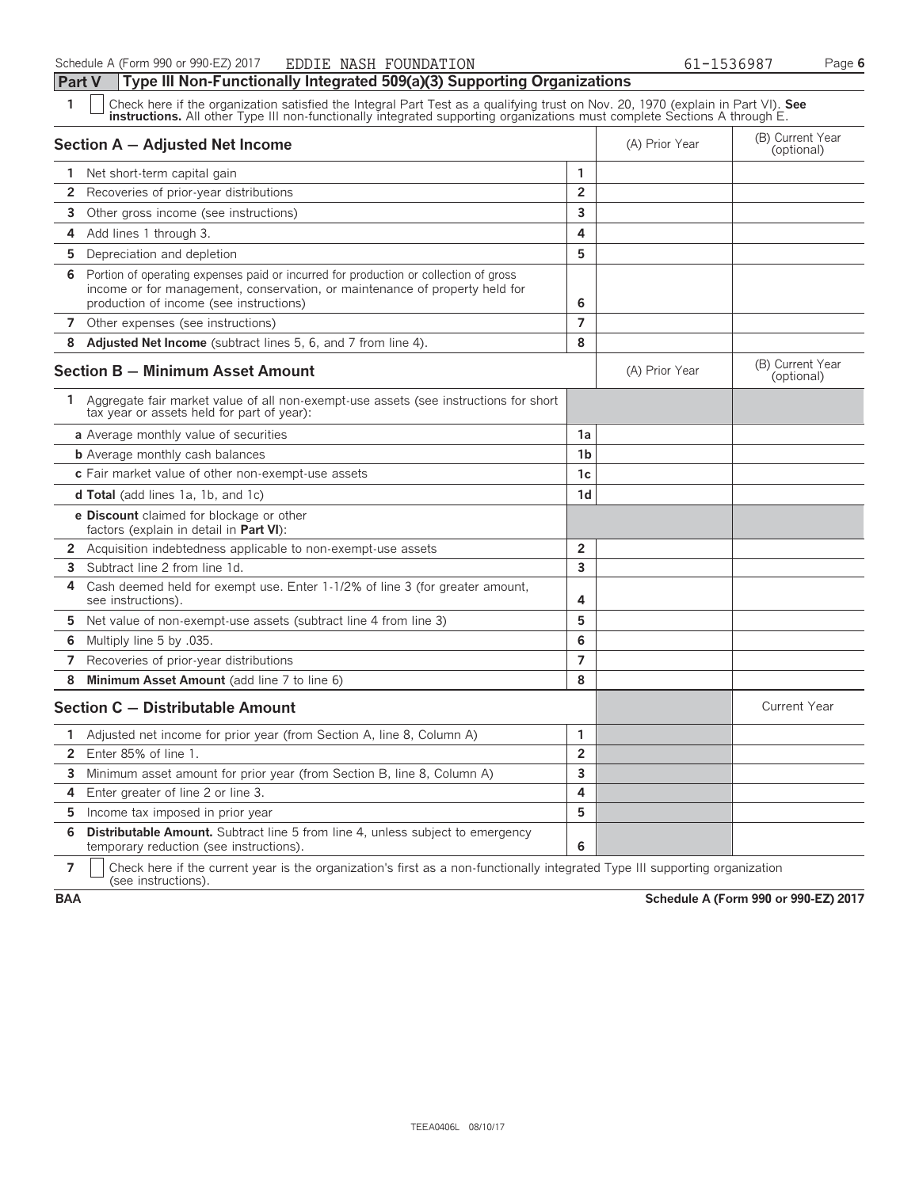**Part V Type III Non-Functionally Integrated 509(a)(3) Supporting Organizations**

| 1  | Check here if the organization satisfied the Integral Part Test as a qualifying trust on Nov. 20, 1970 (explain in Part VI). See<br>instructions. All other Type III non-functionally integrated supporting organizations must complete Sections A through E. |                |                |                                |
|----|---------------------------------------------------------------------------------------------------------------------------------------------------------------------------------------------------------------------------------------------------------------|----------------|----------------|--------------------------------|
|    | Section A - Adjusted Net Income                                                                                                                                                                                                                               |                | (A) Prior Year | (B) Current Year<br>(optional) |
|    | 1 Net short-term capital gain                                                                                                                                                                                                                                 | 1              |                |                                |
| 2  | Recoveries of prior-year distributions                                                                                                                                                                                                                        | $\overline{2}$ |                |                                |
| 3  | Other gross income (see instructions)                                                                                                                                                                                                                         | 3              |                |                                |
| 4  | Add lines 1 through 3.                                                                                                                                                                                                                                        | 4              |                |                                |
| 5  | Depreciation and depletion                                                                                                                                                                                                                                    | 5              |                |                                |
| 6  | Portion of operating expenses paid or incurred for production or collection of gross<br>income or for management, conservation, or maintenance of property held for<br>production of income (see instructions)                                                | 6              |                |                                |
|    | 7 Other expenses (see instructions)                                                                                                                                                                                                                           | 7              |                |                                |
| 8  | Adjusted Net Income (subtract lines 5, 6, and 7 from line 4).                                                                                                                                                                                                 | 8              |                |                                |
|    | Section B - Minimum Asset Amount                                                                                                                                                                                                                              |                | (A) Prior Year | (B) Current Year<br>(optional) |
|    | 1 Aggregate fair market value of all non-exempt-use assets (see instructions for short<br>tax year or assets held for part of year):                                                                                                                          |                |                |                                |
|    | a Average monthly value of securities                                                                                                                                                                                                                         | 1a             |                |                                |
|    | <b>b</b> Average monthly cash balances                                                                                                                                                                                                                        | 1 <sub>b</sub> |                |                                |
|    | c Fair market value of other non-exempt-use assets                                                                                                                                                                                                            | 1c             |                |                                |
|    | <b>d Total</b> (add lines 1a, 1b, and 1c)                                                                                                                                                                                                                     | 1 <sub>d</sub> |                |                                |
|    | <b>e Discount</b> claimed for blockage or other<br>factors (explain in detail in Part VI):                                                                                                                                                                    |                |                |                                |
| 2  | Acquisition indebtedness applicable to non-exempt-use assets                                                                                                                                                                                                  | $\overline{2}$ |                |                                |
| 3  | Subtract line 2 from line 1d.                                                                                                                                                                                                                                 | 3              |                |                                |
| 4  | Cash deemed held for exempt use. Enter 1-1/2% of line 3 (for greater amount,<br>see instructions).                                                                                                                                                            | 4              |                |                                |
| 5  | Net value of non-exempt-use assets (subtract line 4 from line 3)                                                                                                                                                                                              | 5              |                |                                |
| 6  | .035. Multiply line 5 by                                                                                                                                                                                                                                      | 6              |                |                                |
| 7  | Recoveries of prior-year distributions                                                                                                                                                                                                                        | $\overline{7}$ |                |                                |
| 8  | Minimum Asset Amount (add line 7 to line 6)                                                                                                                                                                                                                   | 8              |                |                                |
|    | Section C - Distributable Amount                                                                                                                                                                                                                              |                |                | <b>Current Year</b>            |
| 1. | Adjusted net income for prior year (from Section A, line 8, Column A)                                                                                                                                                                                         | 1              |                |                                |
| 2  | Enter 85% of line 1.                                                                                                                                                                                                                                          | $\overline{2}$ |                |                                |
| 3  | Minimum asset amount for prior year (from Section B, line 8, Column A)                                                                                                                                                                                        | 3              |                |                                |
| 4  | Enter greater of line 2 or line 3.                                                                                                                                                                                                                            | 4              |                |                                |
| 5  | Income tax imposed in prior year                                                                                                                                                                                                                              | 5              |                |                                |
| 6  | <b>Distributable Amount.</b> Subtract line 5 from line 4, unless subject to emergency<br>temporary reduction (see instructions).                                                                                                                              | 6              |                |                                |

**7**  $\mid$  Check here if the current year is the organization's first as a non-functionally integrated Type III supporting organization (see instructions).

**BAA Schedule A (Form 990 or 990-EZ) 2017**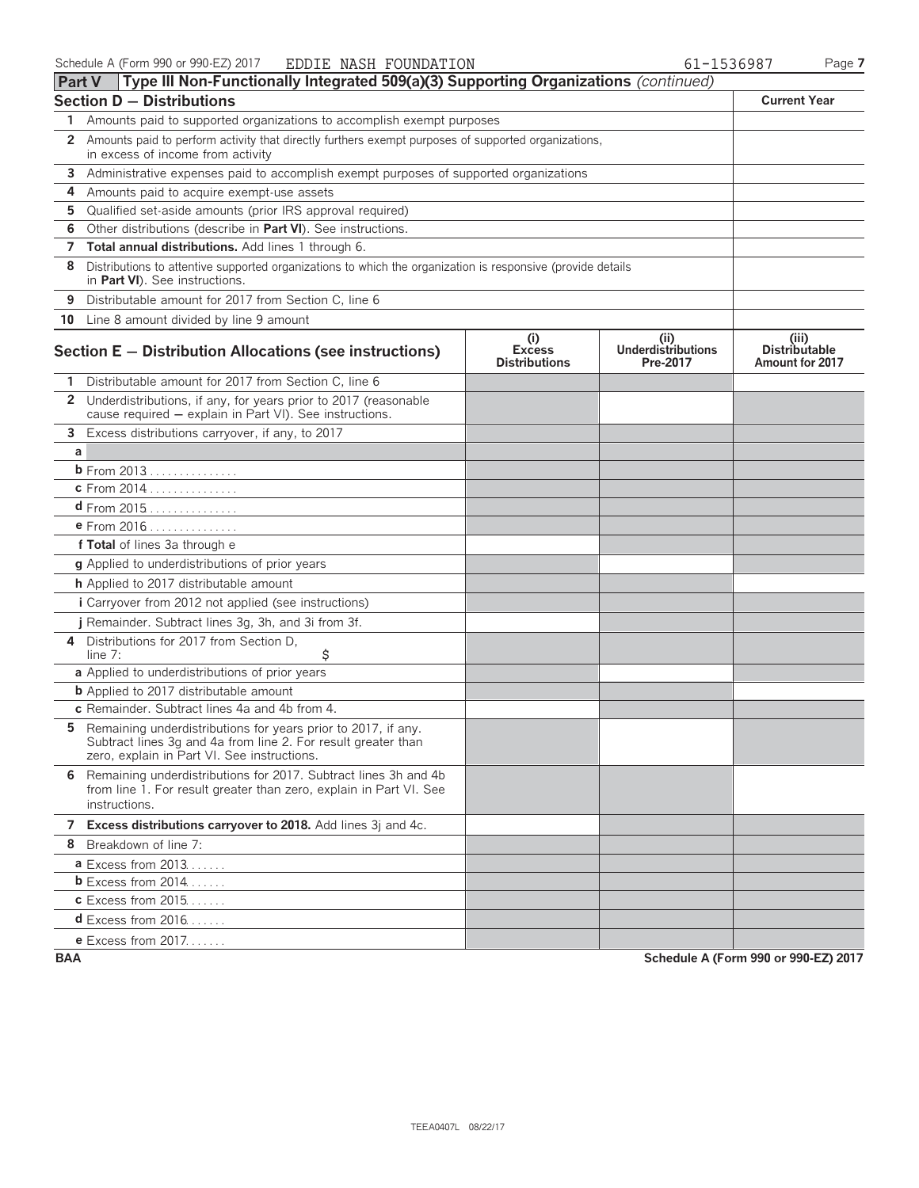| <b>Part V</b> | Type III Non-Functionally Integrated 509(a)(3) Supporting Organizations (continued)                                                                                           |                                              |                                        |                                                  |  |  |  |  |
|---------------|-------------------------------------------------------------------------------------------------------------------------------------------------------------------------------|----------------------------------------------|----------------------------------------|--------------------------------------------------|--|--|--|--|
|               | <b>Section D - Distributions</b>                                                                                                                                              |                                              |                                        | <b>Current Year</b>                              |  |  |  |  |
| 1.            | Amounts paid to supported organizations to accomplish exempt purposes                                                                                                         |                                              |                                        |                                                  |  |  |  |  |
| 2             | Amounts paid to perform activity that directly furthers exempt purposes of supported organizations,<br>in excess of income from activity                                      |                                              |                                        |                                                  |  |  |  |  |
| 3             | Administrative expenses paid to accomplish exempt purposes of supported organizations                                                                                         |                                              |                                        |                                                  |  |  |  |  |
| 4             | Amounts paid to acquire exempt-use assets                                                                                                                                     |                                              |                                        |                                                  |  |  |  |  |
| 5             | Qualified set-aside amounts (prior IRS approval required)                                                                                                                     |                                              |                                        |                                                  |  |  |  |  |
| 6             | Other distributions (describe in Part VI). See instructions.                                                                                                                  |                                              |                                        |                                                  |  |  |  |  |
| 7             | Total annual distributions. Add lines 1 through 6.                                                                                                                            |                                              |                                        |                                                  |  |  |  |  |
| 8             | Distributions to attentive supported organizations to which the organization is responsive (provide details<br>in Part VI). See instructions.                                 |                                              |                                        |                                                  |  |  |  |  |
| 9             | Distributable amount for 2017 from Section C, line 6                                                                                                                          |                                              |                                        |                                                  |  |  |  |  |
|               | 10 Line 8 amount divided by line 9 amount                                                                                                                                     |                                              |                                        |                                                  |  |  |  |  |
|               | Section E - Distribution Allocations (see instructions)                                                                                                                       | (i)<br><b>Excess</b><br><b>Distributions</b> | (ii)<br>Underdistributions<br>Pre-2017 | (iii)<br><b>Distributable</b><br>Amount for 2017 |  |  |  |  |
|               | Distributable amount for 2017 from Section C, line 6                                                                                                                          |                                              |                                        |                                                  |  |  |  |  |
|               | 2 Underdistributions, if any, for years prior to 2017 (reasonable<br>cause required - explain in Part VI). See instructions.                                                  |                                              |                                        |                                                  |  |  |  |  |
| 3             | Excess distributions carryover, if any, to 2017                                                                                                                               |                                              |                                        |                                                  |  |  |  |  |
| a             |                                                                                                                                                                               |                                              |                                        |                                                  |  |  |  |  |
|               | <b>b</b> From 2013                                                                                                                                                            |                                              |                                        |                                                  |  |  |  |  |
|               | c From 2014                                                                                                                                                                   |                                              |                                        |                                                  |  |  |  |  |
|               | $d$ From 2015                                                                                                                                                                 |                                              |                                        |                                                  |  |  |  |  |
|               | <b>e</b> From 2016                                                                                                                                                            |                                              |                                        |                                                  |  |  |  |  |
|               | f Total of lines 3a through e                                                                                                                                                 |                                              |                                        |                                                  |  |  |  |  |
|               | g Applied to underdistributions of prior years                                                                                                                                |                                              |                                        |                                                  |  |  |  |  |
|               | h Applied to 2017 distributable amount                                                                                                                                        |                                              |                                        |                                                  |  |  |  |  |
|               | <i>i</i> Carryover from 2012 not applied (see instructions)                                                                                                                   |                                              |                                        |                                                  |  |  |  |  |
|               | j Remainder. Subtract lines 3g, 3h, and 3i from 3f.                                                                                                                           |                                              |                                        |                                                  |  |  |  |  |
| 4             | Distributions for 2017 from Section D,<br>\$<br>line $7:$                                                                                                                     |                                              |                                        |                                                  |  |  |  |  |
|               | a Applied to underdistributions of prior years                                                                                                                                |                                              |                                        |                                                  |  |  |  |  |
|               | <b>b</b> Applied to 2017 distributable amount                                                                                                                                 |                                              |                                        |                                                  |  |  |  |  |
|               | c Remainder. Subtract lines 4a and 4b from 4.                                                                                                                                 |                                              |                                        |                                                  |  |  |  |  |
| 5.            | Remaining underdistributions for years prior to 2017, if any.<br>Subtract lines 3g and 4a from line 2. For result greater than<br>zero, explain in Part VI. See instructions. |                                              |                                        |                                                  |  |  |  |  |
|               | 6 Remaining underdistributions for 2017. Subtract lines 3h and 4b<br>from line 1. For result greater than zero, explain in Part VI. See<br>instructions.                      |                                              |                                        |                                                  |  |  |  |  |
|               | 7 Excess distributions carryover to 2018. Add lines 3j and 4c.                                                                                                                |                                              |                                        |                                                  |  |  |  |  |
|               | 8 Breakdown of line 7:                                                                                                                                                        |                                              |                                        |                                                  |  |  |  |  |
|               | <b>a</b> Excess from $2013$                                                                                                                                                   |                                              |                                        |                                                  |  |  |  |  |
|               | <b>b</b> Excess from $2014$                                                                                                                                                   |                                              |                                        |                                                  |  |  |  |  |
|               | <b>c</b> Excess from 2015                                                                                                                                                     |                                              |                                        |                                                  |  |  |  |  |
|               | $d$ Excess from 2016                                                                                                                                                          |                                              |                                        |                                                  |  |  |  |  |
|               | e Excess from 2017.                                                                                                                                                           |                                              |                                        |                                                  |  |  |  |  |

**BAA Schedule A (Form 990 or 990-EZ) 2017**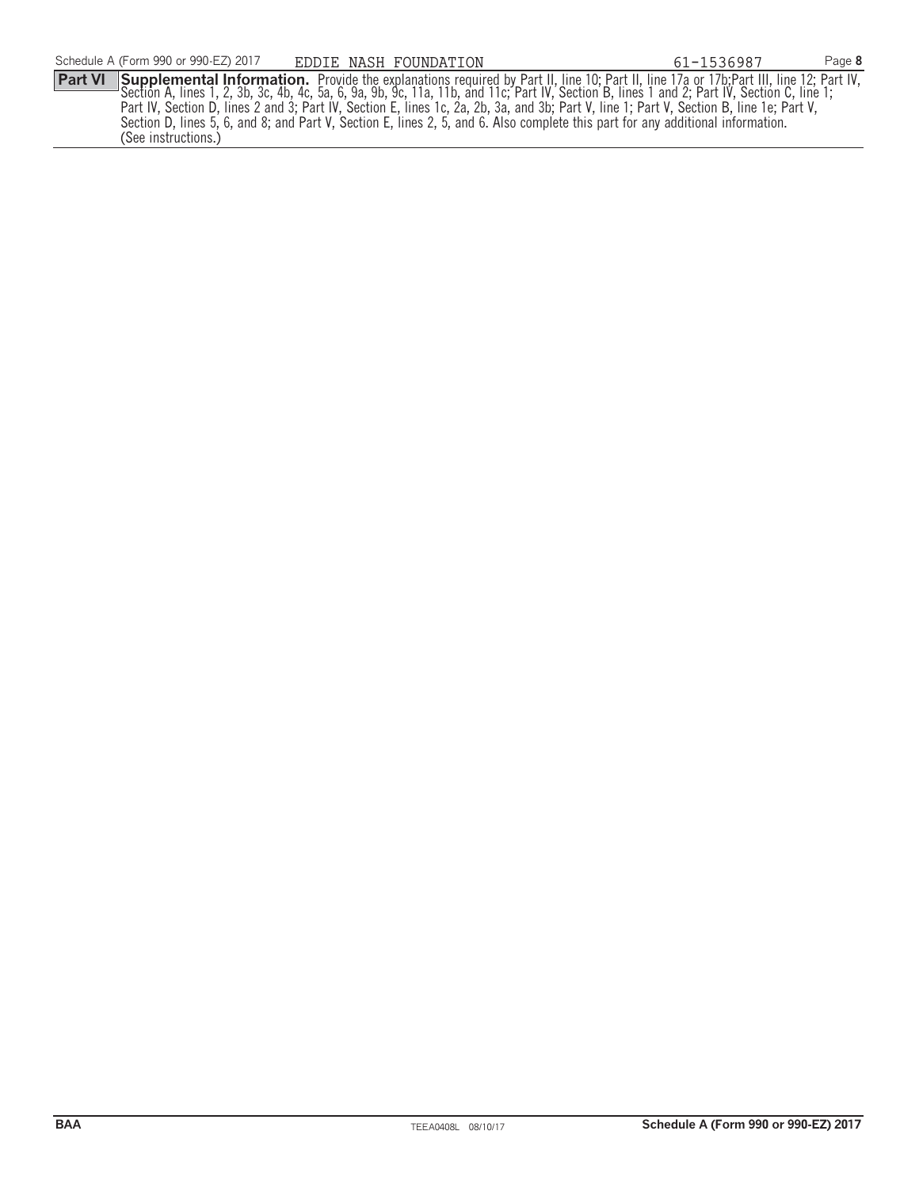Part VI Supplemental Information. Provide the explanations required by Part II, line 10; Part II, line 17a or 17b;Part III, line 12; Part IV,<br>Section A, lines 1, 2, 3b, 3c, 4b, 4c, 5a, 6, 9a, 9b, 9c, 11a, 11b, and 11c; Par Part IV, Section D, lines 2 and 3; Part IV, Section E, lines 1c, 2a, 2b, 3a, and 3b; Part V, line 1; Part V, Section B, line 1e; Part V, Section D, lines 5, 6, and 8; and Part V, Section E, lines 2, 5, and 6. Also complete this part for any additional information. (See instructions.) EDDIE NASH FOUNDATION 61-1536987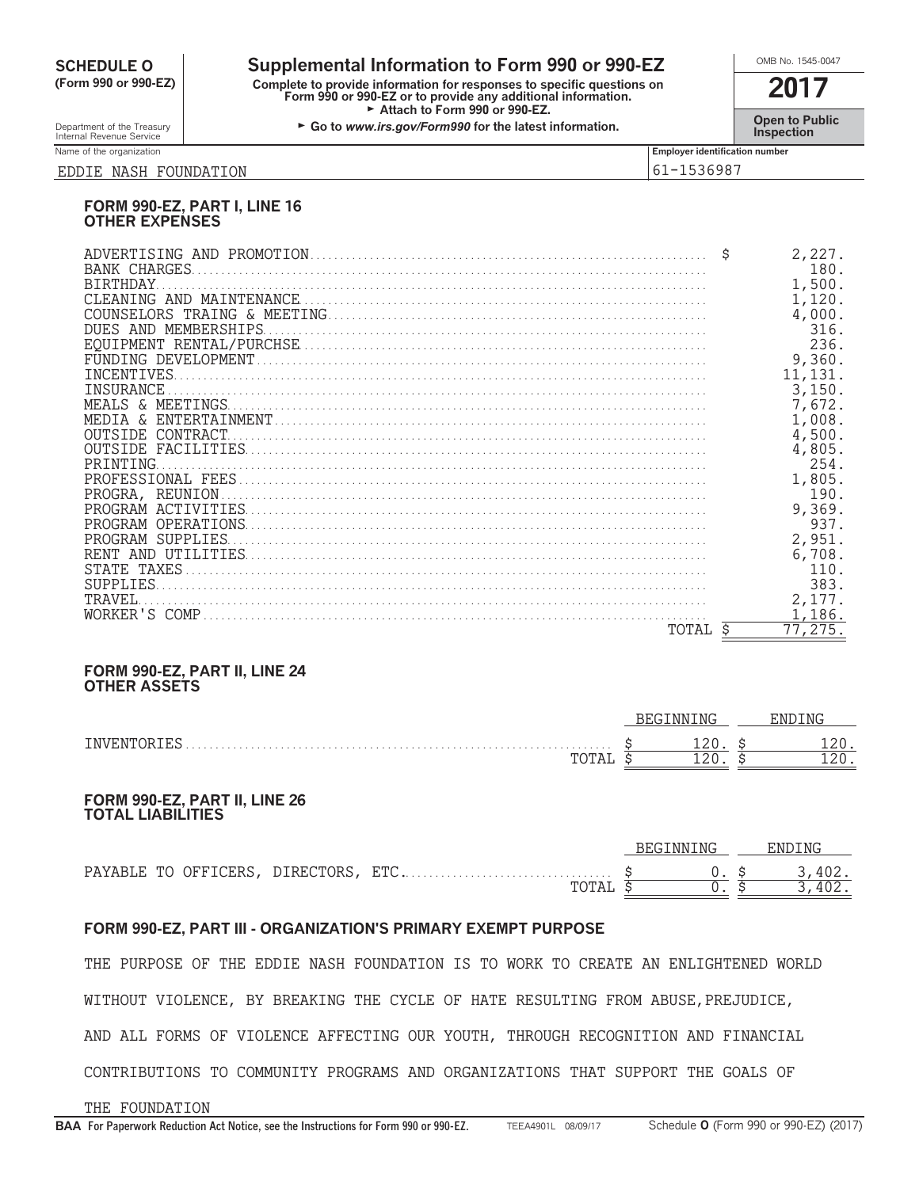## **CHEDULE O** Supplemental Information to Form 990 or 990-EZ<br>
Form 990 or 990-EZ Complete to provide information for responses to specific questions on

**(Form 990 or 990-EZ) Complete to provide information for responses to specific questions on Form 990 or 990-EZ or to provide any additional information. 2017** Attach to Form 990 or 990-EZ.

Department of the Treasury **Constant Comment of the Collaboration Constant Constant Comment Constant Constant Constant Constant Constant Constant Constant Constant Constant Constant Constant Constant Constant Constant C** 

Name of the organization **Employer identification number Employer identification number** 

### EDDIE NASH FOUNDATION 61-1536987

### **FORM 990-EZ, PART I, LINE 16 OTHER EXPENSES**

| <b>BIRTHDAY</b><br>DUES AND MEMBERSHIPS<br>OUTSIDE CONTRACT |    | 2,227.<br>180.<br>1,500.<br>1,120.<br>4,000.<br>316.<br>236.<br>9,360.<br>11,131.<br>3,150.<br>7,672.<br>1,008.<br>4,500. |
|-------------------------------------------------------------|----|---------------------------------------------------------------------------------------------------------------------------|
| PRINTING                                                    |    | 4,805.<br>254.                                                                                                            |
| PROGRA, REUNION.                                            |    | 1,805.<br>190.<br>9,369.                                                                                                  |
| PROGRAM SUPPLIES                                            |    | 937.<br>2,951.                                                                                                            |
|                                                             |    | 6,708.<br>110.<br>383.                                                                                                    |
| TRAVEL.                                                     |    | 2,177.<br>1,186.                                                                                                          |
| TOTAL                                                       | Ŝ. | 77,275.                                                                                                                   |

### **FORM 990-EZ, PART II, LINE 24 OTHER ASSETS**

|                                         | MG:<br>NN I<br>レレロ |  | . NR<br>- 111 |
|-----------------------------------------|--------------------|--|---------------|
| TMVE<br>'NI<br>$\overline{v}$<br>.<br>. | ᅩᄼ                 |  |               |
|                                         | --                 |  |               |

### **FORM 990-EZ, PART II, LINE 26 TOTAL LIABILITIES**

|            |           |            |       | BEGINNING |  | ENDING |
|------------|-----------|------------|-------|-----------|--|--------|
| PAYABLE TO | OFFICERS, | DIRECTORS, | , ETC |           |  | 402.   |
|            |           |            | TOTAL |           |  | 402.   |

### **FORM 990-EZ, PART III - ORGANIZATION'S PRIMARY EXEMPT PURPOSE**

THE PURPOSE OF THE EDDIE NASH FOUNDATION IS TO WORK TO CREATE AN ENLIGHTENED WORLD WITHOUT VIOLENCE, BY BREAKING THE CYCLE OF HATE RESULTING FROM ABUSE,PREJUDICE, AND ALL FORMS OF VIOLENCE AFFECTING OUR YOUTH, THROUGH RECOGNITION AND FINANCIAL CONTRIBUTIONS TO COMMUNITY PROGRAMS AND ORGANIZATIONS THAT SUPPORT THE GOALS OF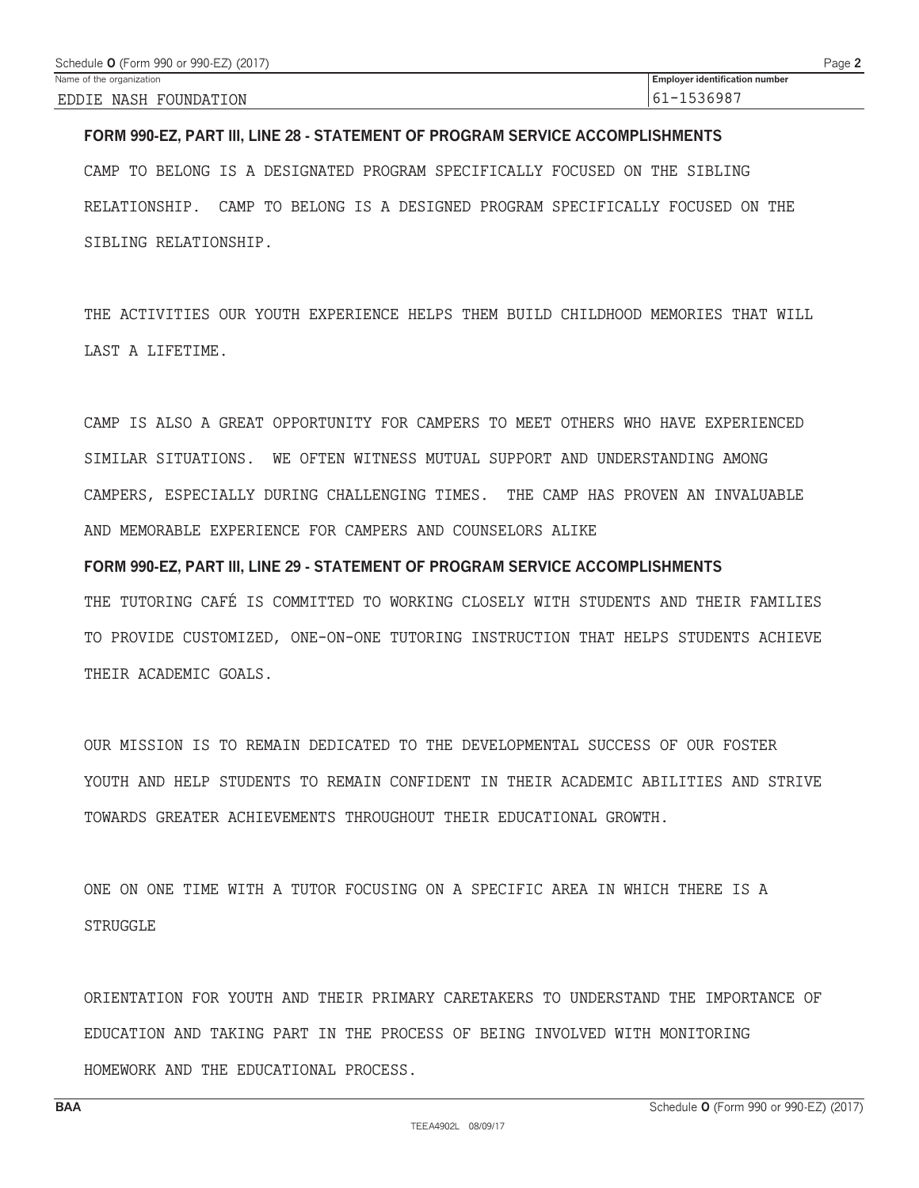### **FORM 990-EZ, PART III, LINE 28 - STATEMENT OF PROGRAM SERVICE ACCOMPLISHMENTS**

CAMP TO BELONG IS A DESIGNATED PROGRAM SPECIFICALLY FOCUSED ON THE SIBLING RELATIONSHIP. CAMP TO BELONG IS A DESIGNED PROGRAM SPECIFICALLY FOCUSED ON THE SIBLING RELATIONSHIP.

THE ACTIVITIES OUR YOUTH EXPERIENCE HELPS THEM BUILD CHILDHOOD MEMORIES THAT WILL LAST A LIFETIME.

CAMP IS ALSO A GREAT OPPORTUNITY FOR CAMPERS TO MEET OTHERS WHO HAVE EXPERIENCED SIMILAR SITUATIONS. WE OFTEN WITNESS MUTUAL SUPPORT AND UNDERSTANDING AMONG CAMPERS, ESPECIALLY DURING CHALLENGING TIMES. THE CAMP HAS PROVEN AN INVALUABLE AND MEMORABLE EXPERIENCE FOR CAMPERS AND COUNSELORS ALIKE

**FORM 990-EZ, PART III, LINE 29 - STATEMENT OF PROGRAM SERVICE ACCOMPLISHMENTS** THE TUTORING CAFÉ IS COMMITTED TO WORKING CLOSELY WITH STUDENTS AND THEIR FAMILIES TO PROVIDE CUSTOMIZED, ONE-ON-ONE TUTORING INSTRUCTION THAT HELPS STUDENTS ACHIEVE THEIR ACADEMIC GOALS.

OUR MISSION IS TO REMAIN DEDICATED TO THE DEVELOPMENTAL SUCCESS OF OUR FOSTER YOUTH AND HELP STUDENTS TO REMAIN CONFIDENT IN THEIR ACADEMIC ABILITIES AND STRIVE TOWARDS GREATER ACHIEVEMENTS THROUGHOUT THEIR EDUCATIONAL GROWTH.

ONE ON ONE TIME WITH A TUTOR FOCUSING ON A SPECIFIC AREA IN WHICH THERE IS A STRUGGLE

ORIENTATION FOR YOUTH AND THEIR PRIMARY CARETAKERS TO UNDERSTAND THE IMPORTANCE OF EDUCATION AND TAKING PART IN THE PROCESS OF BEING INVOLVED WITH MONITORING HOMEWORK AND THE EDUCATIONAL PROCESS.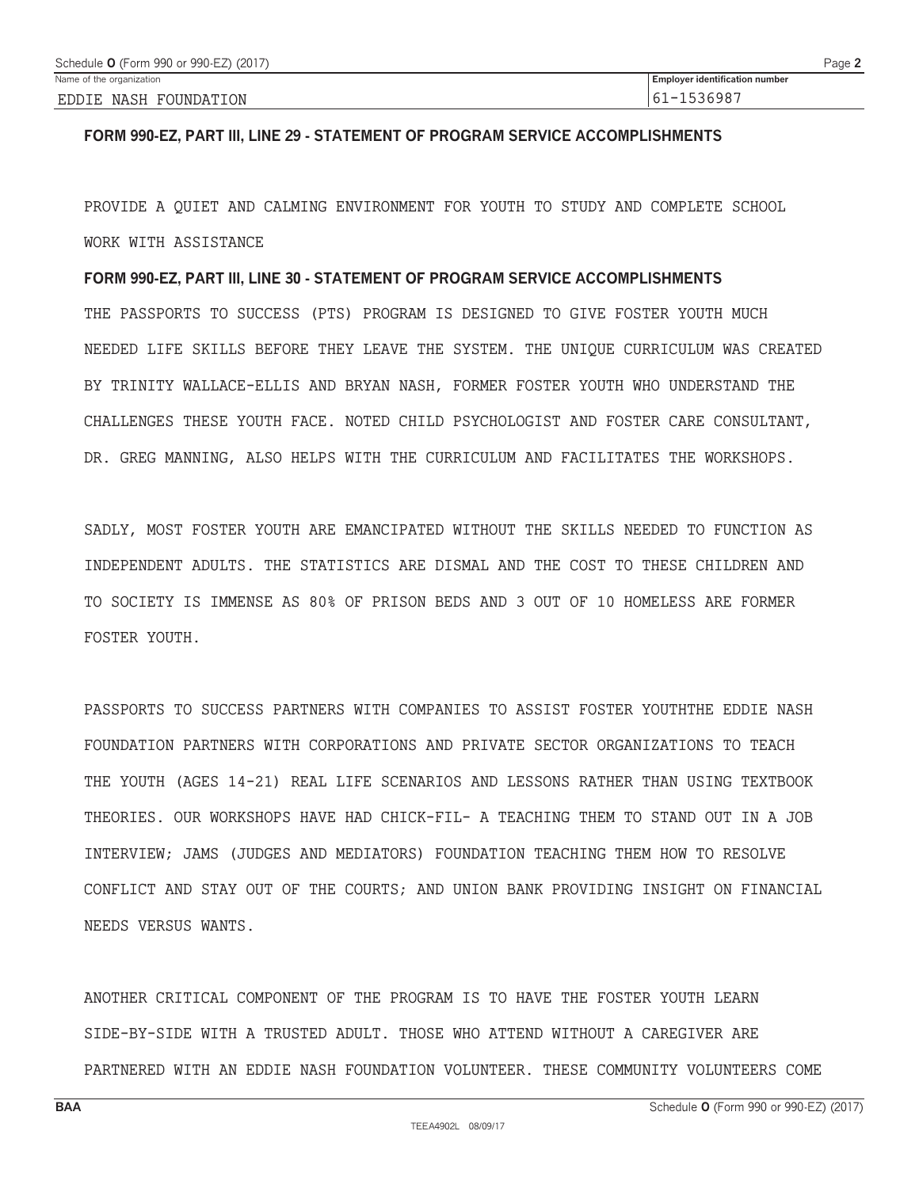### **FORM 990-EZ, PART III, LINE 29 - STATEMENT OF PROGRAM SERVICE ACCOMPLISHMENTS**

PROVIDE A QUIET AND CALMING ENVIRONMENT FOR YOUTH TO STUDY AND COMPLETE SCHOOL WORK WITH ASSISTANCE

**FORM 990-EZ, PART III, LINE 30 - STATEMENT OF PROGRAM SERVICE ACCOMPLISHMENTS** THE PASSPORTS TO SUCCESS (PTS) PROGRAM IS DESIGNED TO GIVE FOSTER YOUTH MUCH NEEDED LIFE SKILLS BEFORE THEY LEAVE THE SYSTEM. THE UNIQUE CURRICULUM WAS CREATED BY TRINITY WALLACE-ELLIS AND BRYAN NASH, FORMER FOSTER YOUTH WHO UNDERSTAND THE CHALLENGES THESE YOUTH FACE. NOTED CHILD PSYCHOLOGIST AND FOSTER CARE CONSULTANT, DR. GREG MANNING, ALSO HELPS WITH THE CURRICULUM AND FACILITATES THE WORKSHOPS.

SADLY, MOST FOSTER YOUTH ARE EMANCIPATED WITHOUT THE SKILLS NEEDED TO FUNCTION AS INDEPENDENT ADULTS. THE STATISTICS ARE DISMAL AND THE COST TO THESE CHILDREN AND TO SOCIETY IS IMMENSE AS 80% OF PRISON BEDS AND 3 OUT OF 10 HOMELESS ARE FORMER FOSTER YOUTH.

PASSPORTS TO SUCCESS PARTNERS WITH COMPANIES TO ASSIST FOSTER YOUTHTHE EDDIE NASH FOUNDATION PARTNERS WITH CORPORATIONS AND PRIVATE SECTOR ORGANIZATIONS TO TEACH THE YOUTH (AGES 14-21) REAL LIFE SCENARIOS AND LESSONS RATHER THAN USING TEXTBOOK THEORIES. OUR WORKSHOPS HAVE HAD CHICK-FIL- A TEACHING THEM TO STAND OUT IN A JOB INTERVIEW; JAMS (JUDGES AND MEDIATORS) FOUNDATION TEACHING THEM HOW TO RESOLVE CONFLICT AND STAY OUT OF THE COURTS; AND UNION BANK PROVIDING INSIGHT ON FINANCIAL NEEDS VERSUS WANTS.

ANOTHER CRITICAL COMPONENT OF THE PROGRAM IS TO HAVE THE FOSTER YOUTH LEARN SIDE-BY-SIDE WITH A TRUSTED ADULT. THOSE WHO ATTEND WITHOUT A CAREGIVER ARE PARTNERED WITH AN EDDIE NASH FOUNDATION VOLUNTEER. THESE COMMUNITY VOLUNTEERS COME